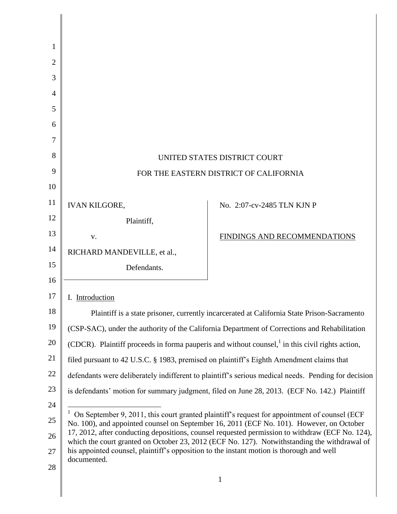| -1             |                                                                                                         |                                                                                                                                                                                                 |
|----------------|---------------------------------------------------------------------------------------------------------|-------------------------------------------------------------------------------------------------------------------------------------------------------------------------------------------------|
| $\overline{2}$ |                                                                                                         |                                                                                                                                                                                                 |
| 3              |                                                                                                         |                                                                                                                                                                                                 |
| $\overline{4}$ |                                                                                                         |                                                                                                                                                                                                 |
| 5              |                                                                                                         |                                                                                                                                                                                                 |
| 6              |                                                                                                         |                                                                                                                                                                                                 |
| 7              |                                                                                                         |                                                                                                                                                                                                 |
| 8              |                                                                                                         | UNITED STATES DISTRICT COURT                                                                                                                                                                    |
| 9              |                                                                                                         | FOR THE EASTERN DISTRICT OF CALIFORNIA                                                                                                                                                          |
| 10             |                                                                                                         |                                                                                                                                                                                                 |
| 11             | <b>IVAN KILGORE,</b>                                                                                    | No. 2:07-cv-2485 TLN KJN P                                                                                                                                                                      |
| 12             | Plaintiff,                                                                                              |                                                                                                                                                                                                 |
| 13             | V.                                                                                                      | FINDINGS AND RECOMMENDATIONS                                                                                                                                                                    |
| 14             | RICHARD MANDEVILLE, et al.,                                                                             |                                                                                                                                                                                                 |
| 15             | Defendants.                                                                                             |                                                                                                                                                                                                 |
| 16             |                                                                                                         |                                                                                                                                                                                                 |
| 17             | I. Introduction                                                                                         |                                                                                                                                                                                                 |
| 18             |                                                                                                         | Plaintiff is a state prisoner, currently incarcerated at California State Prison-Sacramento                                                                                                     |
| 19             |                                                                                                         | (CSP-SAC), under the authority of the California Department of Corrections and Rehabilitation                                                                                                   |
| 20             |                                                                                                         | (CDCR). Plaintiff proceeds in forma pauperis and without counsel, <sup>1</sup> in this civil rights action,                                                                                     |
| 21             | filed pursuant to 42 U.S.C. § 1983, premised on plaintiff's Eighth Amendment claims that                |                                                                                                                                                                                                 |
| 22             |                                                                                                         | defendants were deliberately indifferent to plaintiff's serious medical needs. Pending for decision                                                                                             |
| 23             |                                                                                                         | is defendants' motion for summary judgment, filed on June 28, 2013. (ECF No. 142.) Plaintiff                                                                                                    |
| 24             |                                                                                                         |                                                                                                                                                                                                 |
| 25             |                                                                                                         | On September 9, 2011, this court granted plaintiff's request for appointment of counsel (ECF<br>No. 100), and appointed counsel on September 16, 2011 (ECF No. 101). However, on October        |
| 26             |                                                                                                         | 17, 2012, after conducting depositions, counsel requested permission to withdraw (ECF No. 124),<br>which the court granted on October 23, 2012 (ECF No. 127). Notwithstanding the withdrawal of |
| 27             | his appointed counsel, plaintiff's opposition to the instant motion is thorough and well<br>documented. |                                                                                                                                                                                                 |
| 28             |                                                                                                         |                                                                                                                                                                                                 |
|                |                                                                                                         | 1                                                                                                                                                                                               |
|                |                                                                                                         |                                                                                                                                                                                                 |

║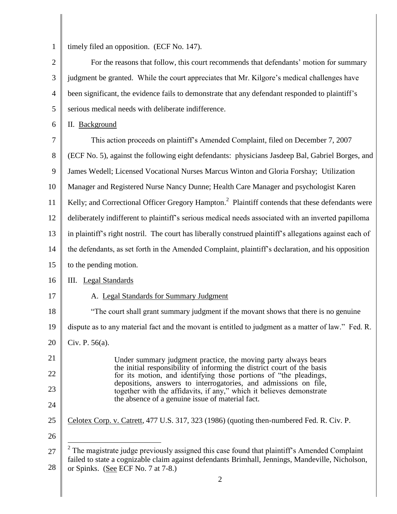1

timely filed an opposition. (ECF No. 147).

2 3 4 5 For the reasons that follow, this court recommends that defendants' motion for summary judgment be granted. While the court appreciates that Mr. Kilgore's medical challenges have been significant, the evidence fails to demonstrate that any defendant responded to plaintiff's serious medical needs with deliberate indifference.

6 II. Background

7 8 9 10 11 12 13 14 15 16 17 18 19 20 21 22 23 24 25 26 27 28 2 This action proceeds on plaintiff"s Amended Complaint, filed on December 7, 2007 (ECF No. 5), against the following eight defendants: physicians Jasdeep Bal, Gabriel Borges, and James Wedell; Licensed Vocational Nurses Marcus Winton and Gloria Forshay; Utilization Manager and Registered Nurse Nancy Dunne; Health Care Manager and psychologist Karen Kelly; and Correctional Officer Gregory Hampton.<sup>2</sup> Plaintiff contends that these defendants were deliberately indifferent to plaintiff"s serious medical needs associated with an inverted papilloma in plaintiff"s right nostril. The court has liberally construed plaintiff"s allegations against each of the defendants, as set forth in the Amended Complaint, plaintiff"s declaration, and his opposition to the pending motion. III. Legal Standards A. Legal Standards for Summary Judgment "The court shall grant summary judgment if the movant shows that there is no genuine dispute as to any material fact and the movant is entitled to judgment as a matter of law." Fed. R. Civ. P. 56(a). Under summary judgment practice, the moving party always bears the initial responsibility of informing the district court of the basis for its motion, and identifying those portions of "the pleadings, depositions, answers to interrogatories, and admissions on file, together with the affidavits, if any," which it believes demonstrate the absence of a genuine issue of material fact. Celotex Corp. v. Catrett, 477 U.S. 317, 323 (1986) (quoting then-numbered Fed. R. Civ. P.  $\overline{a}$  $2^2$  The magistrate judge previously assigned this case found that plaintiff's Amended Complaint failed to state a cognizable claim against defendants Brimhall, Jennings, Mandeville, Nicholson, or Spinks. (See ECF No. 7 at 7-8.)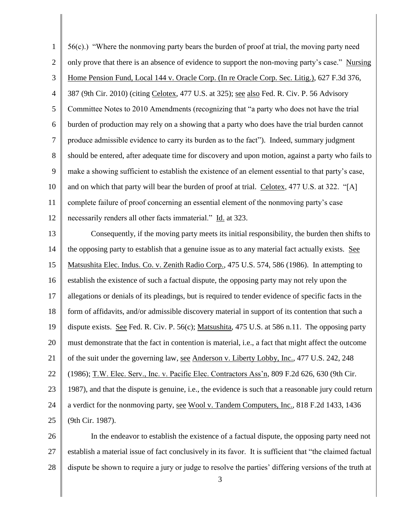| $\mathbf{1}$   | 56(c).) "Where the nonmoving party bears the burden of proof at trial, the moving party need             |
|----------------|----------------------------------------------------------------------------------------------------------|
| $\mathfrak{2}$ | only prove that there is an absence of evidence to support the non-moving party's case." Nursing         |
| 3              | Home Pension Fund, Local 144 v. Oracle Corp. (In re Oracle Corp. Sec. Litig.), 627 F.3d 376,             |
| $\overline{4}$ | 387 (9th Cir. 2010) (citing Celotex, 477 U.S. at 325); see also Fed. R. Civ. P. 56 Advisory              |
| 5              | Committee Notes to 2010 Amendments (recognizing that "a party who does not have the trial                |
| 6              | burden of production may rely on a showing that a party who does have the trial burden cannot            |
| $\tau$         | produce admissible evidence to carry its burden as to the fact"). Indeed, summary judgment               |
| $8\,$          | should be entered, after adequate time for discovery and upon motion, against a party who fails to       |
| 9              | make a showing sufficient to establish the existence of an element essential to that party's case,       |
| 10             | and on which that party will bear the burden of proof at trial. Celotex, 477 U.S. at 322. "[A]           |
| 11             | complete failure of proof concerning an essential element of the nonmoving party's case                  |
| 12             | necessarily renders all other facts immaterial." Id. at 323.                                             |
| 13             | Consequently, if the moving party meets its initial responsibility, the burden then shifts to            |
| 14             | the opposing party to establish that a genuine issue as to any material fact actually exists. See        |
| 15             | Matsushita Elec. Indus. Co. v. Zenith Radio Corp., 475 U.S. 574, 586 (1986). In attempting to            |
| 16             | establish the existence of such a factual dispute, the opposing party may not rely upon the              |
| 17             | allegations or denials of its pleadings, but is required to tender evidence of specific facts in the     |
| 18             | form of affidavits, and/or admissible discovery material in support of its contention that such a        |
| 19             | dispute exists. See Fed. R. Civ. P. 56(c); Matsushita, 475 U.S. at 586 n.11. The opposing party          |
| 20             | must demonstrate that the fact in contention is material, i.e., a fact that might affect the outcome     |
| 21             | of the suit under the governing law, see Anderson v. Liberty Lobby, Inc., 477 U.S. 242, 248              |
| 22             | (1986); T.W. Elec. Serv., Inc. v. Pacific Elec. Contractors Ass'n, 809 F.2d 626, 630 (9th Cir.           |
| 23             | 1987), and that the dispute is genuine, i.e., the evidence is such that a reasonable jury could return   |
| 24             | a verdict for the nonmoving party, see Wool v. Tandem Computers, Inc., 818 F.2d 1433, 1436               |
| 25             | (9th Cir. 1987).                                                                                         |
| 26             | In the endeavor to establish the existence of a factual dispute, the opposing party need not             |
| 27             | establish a material issue of fact conclusively in its favor. It is sufficient that "the claimed factual |

28 dispute be shown to require a jury or judge to resolve the parties' differing versions of the truth at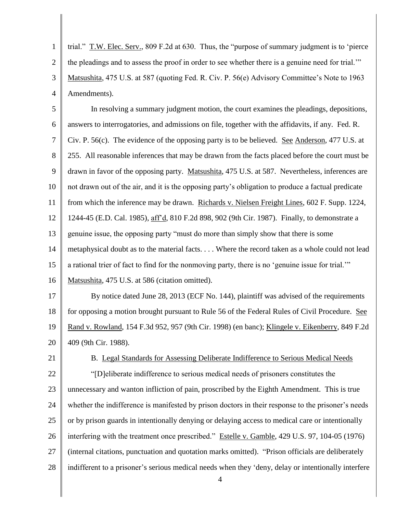1 2 3 4 trial." T.W. Elec. Serv., 809 F.2d at 630. Thus, the "purpose of summary judgment is to "pierce the pleadings and to assess the proof in order to see whether there is a genuine need for trial."" Matsushita, 475 U.S. at 587 (quoting Fed. R. Civ. P. 56(e) Advisory Committee"s Note to 1963 Amendments).

5 6 7 8 9 10 11 12 13 14 15 16 In resolving a summary judgment motion, the court examines the pleadings, depositions, answers to interrogatories, and admissions on file, together with the affidavits, if any. Fed. R. Civ. P. 56(c). The evidence of the opposing party is to be believed. See Anderson, 477 U.S. at 255. All reasonable inferences that may be drawn from the facts placed before the court must be drawn in favor of the opposing party. Matsushita, 475 U.S. at 587. Nevertheless, inferences are not drawn out of the air, and it is the opposing party"s obligation to produce a factual predicate from which the inference may be drawn. Richards v. Nielsen Freight Lines, 602 F. Supp. 1224, 1244-45 (E.D. Cal. 1985), aff"d, 810 F.2d 898, 902 (9th Cir. 1987). Finally, to demonstrate a genuine issue, the opposing party "must do more than simply show that there is some metaphysical doubt as to the material facts. . . . Where the record taken as a whole could not lead a rational trier of fact to find for the nonmoving party, there is no "genuine issue for trial."" Matsushita, 475 U.S. at 586 (citation omitted).

17 18 19 20 By notice dated June 28, 2013 (ECF No. 144), plaintiff was advised of the requirements for opposing a motion brought pursuant to Rule 56 of the Federal Rules of Civil Procedure. See Rand v. Rowland, 154 F.3d 952, 957 (9th Cir. 1998) (en banc); Klingele v. Eikenberry, 849 F.2d 409 (9th Cir. 1988).

21

22

B. Legal Standards for Assessing Deliberate Indifference to Serious Medical Needs

23 24 25 26 27 28 "[D]eliberate indifference to serious medical needs of prisoners constitutes the unnecessary and wanton infliction of pain, proscribed by the Eighth Amendment. This is true whether the indifference is manifested by prison doctors in their response to the prisoner's needs or by prison guards in intentionally denying or delaying access to medical care or intentionally interfering with the treatment once prescribed." Estelle v. Gamble, 429 U.S. 97, 104-05 (1976) (internal citations, punctuation and quotation marks omitted). "Prison officials are deliberately indifferent to a prisoner's serious medical needs when they 'deny, delay or intentionally interfere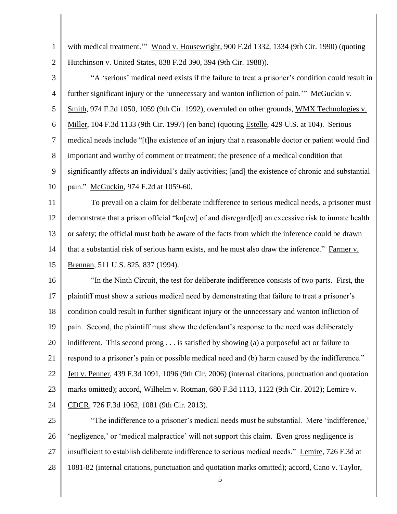1 2 with medical treatment." Wood v. Housewright, 900 F.2d 1332, 1334 (9th Cir. 1990) (quoting Hutchinson v. United States, 838 F.2d 390, 394 (9th Cir. 1988)).

3 4 5 6 7 8 9 10 "A 'serious' medical need exists if the failure to treat a prisoner's condition could result in further significant injury or the 'unnecessary and wanton infliction of pain." McGuckin v. Smith, 974 F.2d 1050, 1059 (9th Cir. 1992), overruled on other grounds, WMX Technologies v. Miller, 104 F.3d 1133 (9th Cir. 1997) (en banc) (quoting Estelle, 429 U.S. at 104). Serious medical needs include "[t]he existence of an injury that a reasonable doctor or patient would find important and worthy of comment or treatment; the presence of a medical condition that significantly affects an individual's daily activities; [and] the existence of chronic and substantial pain." McGuckin, 974 F.2d at 1059-60.

11 12 13 14 15 To prevail on a claim for deliberate indifference to serious medical needs, a prisoner must demonstrate that a prison official "kn[ew] of and disregard[ed] an excessive risk to inmate health or safety; the official must both be aware of the facts from which the inference could be drawn that a substantial risk of serious harm exists, and he must also draw the inference." Farmer v. Brennan, 511 U.S. 825, 837 (1994).

16 17 18 19 20 21 22 23 24 "In the Ninth Circuit, the test for deliberate indifference consists of two parts. First, the plaintiff must show a serious medical need by demonstrating that failure to treat a prisoner"s condition could result in further significant injury or the unnecessary and wanton infliction of pain. Second, the plaintiff must show the defendant"s response to the need was deliberately indifferent. This second prong . . . is satisfied by showing (a) a purposeful act or failure to respond to a prisoner's pain or possible medical need and (b) harm caused by the indifference." Jett v. Penner, 439 F.3d 1091, 1096 (9th Cir. 2006) (internal citations, punctuation and quotation marks omitted); accord, Wilhelm v. Rotman, 680 F.3d 1113, 1122 (9th Cir. 2012); Lemire v. CDCR, 726 F.3d 1062, 1081 (9th Cir. 2013).

25 26 27 28 "The indifference to a prisoner's medical needs must be substantial. Mere 'indifference,' "negligence," or "medical malpractice" will not support this claim. Even gross negligence is insufficient to establish deliberate indifference to serious medical needs." Lemire, 726 F.3d at 1081-82 (internal citations, punctuation and quotation marks omitted); accord, Cano v. Taylor,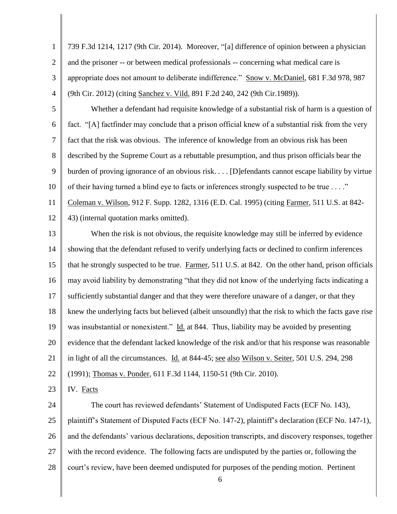1 2 3 4 5 6 7 8 9 10 11 12 13 14 15 16 17 18 19 20 21 22 23 24 25 26 27 28 6 739 F.3d 1214, 1217 (9th Cir. 2014). Moreover, "[a] difference of opinion between a physician and the prisoner -- or between medical professionals -- concerning what medical care is appropriate does not amount to deliberate indifference." Snow v. McDaniel, 681 F.3d 978, 987 (9th Cir. 2012) (citing Sanchez v. Vild, 891 F.2d 240, 242 (9th Cir.1989)). Whether a defendant had requisite knowledge of a substantial risk of harm is a question of fact. "[A] factfinder may conclude that a prison official knew of a substantial risk from the very fact that the risk was obvious. The inference of knowledge from an obvious risk has been described by the Supreme Court as a rebuttable presumption, and thus prison officials bear the burden of proving ignorance of an obvious risk. . . . [D]efendants cannot escape liability by virtue of their having turned a blind eye to facts or inferences strongly suspected to be true . . . ." Coleman v. Wilson, 912 F. Supp. 1282, 1316 (E.D. Cal. 1995) (citing Farmer, 511 U.S. at 842- 43) (internal quotation marks omitted). When the risk is not obvious, the requisite knowledge may still be inferred by evidence showing that the defendant refused to verify underlying facts or declined to confirm inferences that he strongly suspected to be true. Farmer, 511 U.S. at 842. On the other hand, prison officials may avoid liability by demonstrating "that they did not know of the underlying facts indicating a sufficiently substantial danger and that they were therefore unaware of a danger, or that they knew the underlying facts but believed (albeit unsoundly) that the risk to which the facts gave rise was insubstantial or nonexistent." Id. at 844. Thus, liability may be avoided by presenting evidence that the defendant lacked knowledge of the risk and/or that his response was reasonable in light of all the circumstances. Id. at 844-45; see also Wilson v. Seiter, 501 U.S. 294, 298 (1991); Thomas v. Ponder, 611 F.3d 1144, 1150-51 (9th Cir. 2010). IV. Facts The court has reviewed defendants' Statement of Undisputed Facts (ECF No. 143), plaintiff"s Statement of Disputed Facts (ECF No. 147-2), plaintiff"s declaration (ECF No. 147-1), and the defendants" various declarations, deposition transcripts, and discovery responses, together with the record evidence. The following facts are undisputed by the parties or, following the court's review, have been deemed undisputed for purposes of the pending motion. Pertinent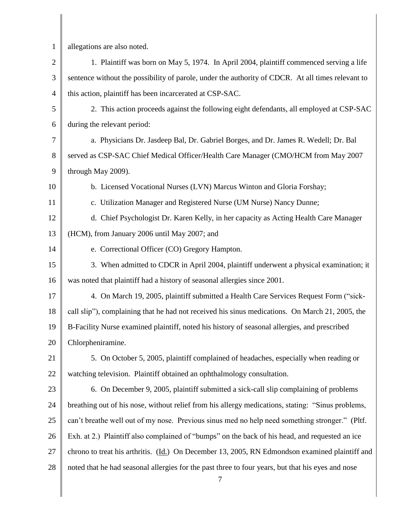1 2 3 4 5 6 7 8 9 10 11 12 13 14 15 16 17 18 19 20 21 22 23 24 25 26 27 28 7 allegations are also noted. 1. Plaintiff was born on May 5, 1974. In April 2004, plaintiff commenced serving a life sentence without the possibility of parole, under the authority of CDCR. At all times relevant to this action, plaintiff has been incarcerated at CSP-SAC. 2. This action proceeds against the following eight defendants, all employed at CSP-SAC during the relevant period: a. Physicians Dr. Jasdeep Bal, Dr. Gabriel Borges, and Dr. James R. Wedell; Dr. Bal served as CSP-SAC Chief Medical Officer/Health Care Manager (CMO/HCM from May 2007 through May 2009). b. Licensed Vocational Nurses (LVN) Marcus Winton and Gloria Forshay; c. Utilization Manager and Registered Nurse (UM Nurse) Nancy Dunne; d. Chief Psychologist Dr. Karen Kelly, in her capacity as Acting Health Care Manager (HCM), from January 2006 until May 2007; and e. Correctional Officer (CO) Gregory Hampton. 3. When admitted to CDCR in April 2004, plaintiff underwent a physical examination; it was noted that plaintiff had a history of seasonal allergies since 2001. 4. On March 19, 2005, plaintiff submitted a Health Care Services Request Form ("sickcall slip"), complaining that he had not received his sinus medications. On March 21, 2005, the B-Facility Nurse examined plaintiff, noted his history of seasonal allergies, and prescribed Chlorpheniramine. 5. On October 5, 2005, plaintiff complained of headaches, especially when reading or watching television. Plaintiff obtained an ophthalmology consultation. 6. On December 9, 2005, plaintiff submitted a sick-call slip complaining of problems breathing out of his nose, without relief from his allergy medications, stating: "Sinus problems, can"t breathe well out of my nose. Previous sinus med no help need something stronger." (Pltf. Exh. at 2.) Plaintiff also complained of "bumps" on the back of his head, and requested an ice chrono to treat his arthritis. (Id.) On December 13, 2005, RN Edmondson examined plaintiff and noted that he had seasonal allergies for the past three to four years, but that his eyes and nose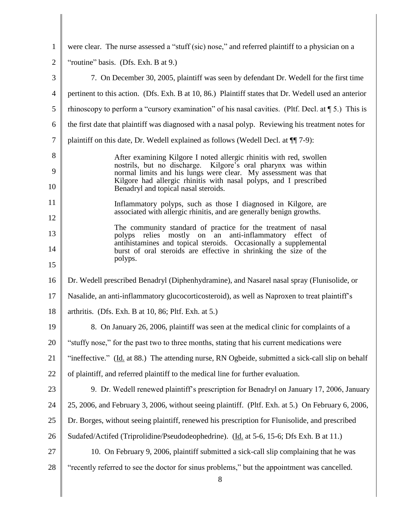| $\mathbf{1}$   | were clear. The nurse assessed a "stuff (sic) nose," and referred plaintiff to a physician on a                                        |
|----------------|----------------------------------------------------------------------------------------------------------------------------------------|
| $\overline{2}$ | "routine" basis. (Dfs. Exh. B at 9.)                                                                                                   |
| 3              | 7. On December 30, 2005, plaintiff was seen by defendant Dr. Wedell for the first time                                                 |
| $\overline{4}$ | pertinent to this action. (Dfs. Exh. B at 10, 86.) Plaintiff states that Dr. Wedell used an anterior                                   |
| 5              | rhinoscopy to perform a "cursory examination" of his nasal cavities. (Pltf. Decl. at $\P$ 5.) This is                                  |
| 6              | the first date that plaintiff was diagnosed with a nasal polyp. Reviewing his treatment notes for                                      |
| $\overline{7}$ | plaintiff on this date, Dr. Wedell explained as follows (Wedell Decl. at $\P$ [7-9):                                                   |
| 8              | After examining Kilgore I noted allergic rhinitis with red, swollen                                                                    |
| 9              | nostrils, but no discharge. Kilgore's oral pharynx was within<br>normal limits and his lungs were clear. My assessment was that        |
| 10             | Kilgore had allergic rhinitis with nasal polyps, and I prescribed<br>Benadryl and topical nasal steroids.                              |
| 11             | Inflammatory polyps, such as those I diagnosed in Kilgore, are<br>associated with allergic rhinitis, and are generally benign growths. |
| 12             | The community standard of practice for the treatment of nasal                                                                          |
| 13             | polyps relies mostly on an anti-inflammatory effect of<br>antihistamines and topical steroids. Occasionally a supplemental             |
| 14             | burst of oral steroids are effective in shrinking the size of the<br>polyps.                                                           |
| 15             |                                                                                                                                        |
| 16             | Dr. Wedell prescribed Benadryl (Diphenhydramine), and Nasarel nasal spray (Flunisolide, or                                             |
| 17             | Nasalide, an anti-inflammatory glucocorticosteroid), as well as Naproxen to treat plaintiff's                                          |
| 18             | arthritis. (Dfs. Exh. B at $10, 86$ ; Pltf. Exh. at $5$ .)                                                                             |
| 19             | 8. On January 26, 2006, plaintiff was seen at the medical clinic for complaints of a                                                   |
| 20             | "stuffy nose," for the past two to three months, stating that his current medications were                                             |
| 21             | "ineffective." (Id. at 88.) The attending nurse, RN Ogbeide, submitted a sick-call slip on behalf                                      |
| 22             | of plaintiff, and referred plaintiff to the medical line for further evaluation.                                                       |
| 23             | 9. Dr. Wedell renewed plaintiff's prescription for Benadryl on January 17, 2006, January                                               |
| 24             | 25, 2006, and February 3, 2006, without seeing plaintiff. (Pltf. Exh. at 5.) On February 6, 2006,                                      |
| 25             | Dr. Borges, without seeing plaintiff, renewed his prescription for Flunisolide, and prescribed                                         |
| 26             | Sudafed/Actifed (Triprolidine/Pseudodeophedrine). (Id. at 5-6, 15-6; Dfs Exh. B at 11.)                                                |
| 27             | 10. On February 9, 2006, plaintiff submitted a sick-call slip complaining that he was                                                  |
| 28             | "recently referred to see the doctor for sinus problems," but the appointment was cancelled.<br>$8\,$                                  |

║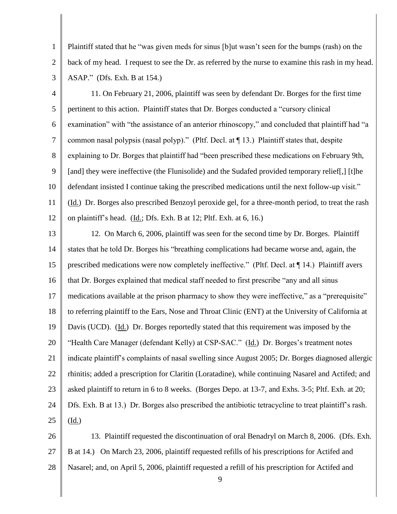Plaintiff stated that he "was given meds for sinus [b]ut wasn"t seen for the bumps (rash) on the back of my head. I request to see the Dr. as referred by the nurse to examine this rash in my head. ASAP." (Dfs. Exh. B at 154.)

1

2

3

4 5 6 7 8 9 10 11 12 11. On February 21, 2006, plaintiff was seen by defendant Dr. Borges for the first time pertinent to this action. Plaintiff states that Dr. Borges conducted a "cursory clinical examination" with "the assistance of an anterior rhinoscopy," and concluded that plaintiff had "a common nasal polypsis (nasal polyp)." (Pltf. Decl. at ¶ 13.) Plaintiff states that, despite explaining to Dr. Borges that plaintiff had "been prescribed these medications on February 9th, [and] they were ineffective (the Flunisolide) and the Sudafed provided temporary relief.] [t]he defendant insisted I continue taking the prescribed medications until the next follow-up visit." (Id.) Dr. Borges also prescribed Benzoyl peroxide gel, for a three-month period, to treat the rash on plaintiff"s head. (Id.; Dfs. Exh. B at 12; Pltf. Exh. at 6, 16.)

13 14 15 16 17 18 19 20 21 22 23 24 25 12. On March 6, 2006, plaintiff was seen for the second time by Dr. Borges. Plaintiff states that he told Dr. Borges his "breathing complications had became worse and, again, the prescribed medications were now completely ineffective." (Pltf. Decl. at ¶ 14.) Plaintiff avers that Dr. Borges explained that medical staff needed to first prescribe "any and all sinus medications available at the prison pharmacy to show they were ineffective," as a "prerequisite" to referring plaintiff to the Ears, Nose and Throat Clinic (ENT) at the University of California at Davis (UCD). (Id.) Dr. Borges reportedly stated that this requirement was imposed by the "Health Care Manager (defendant Kelly) at CSP-SAC." (Id.) Dr. Borges's treatment notes indicate plaintiff"s complaints of nasal swelling since August 2005; Dr. Borges diagnosed allergic rhinitis; added a prescription for Claritin (Loratadine), while continuing Nasarel and Actifed; and asked plaintiff to return in 6 to 8 weeks. (Borges Depo. at 13-7, and Exhs. 3-5; Pltf. Exh. at 20; Dfs. Exh. B at 13.) Dr. Borges also prescribed the antibiotic tetracycline to treat plaintiff"s rash. (Id.)

26 27 28 13. Plaintiff requested the discontinuation of oral Benadryl on March 8, 2006. (Dfs. Exh. B at 14.) On March 23, 2006, plaintiff requested refills of his prescriptions for Actifed and Nasarel; and, on April 5, 2006, plaintiff requested a refill of his prescription for Actifed and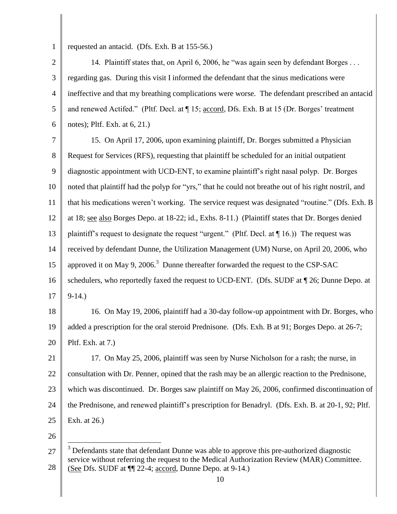1

requested an antacid. (Dfs. Exh. B at 155-56.)

2 3 4 5 6 14. Plaintiff states that, on April 6, 2006, he "was again seen by defendant Borges . . . regarding gas. During this visit I informed the defendant that the sinus medications were ineffective and that my breathing complications were worse. The defendant prescribed an antacid and renewed Actifed." (Pltf. Decl. at  $\P$  15; accord, Dfs. Exh. B at 15 (Dr. Borges' treatment notes); Pltf. Exh. at 6, 21.)

7 8 9 10 11 12 13 14 15 16 17 15. On April 17, 2006, upon examining plaintiff, Dr. Borges submitted a Physician Request for Services (RFS), requesting that plaintiff be scheduled for an initial outpatient diagnostic appointment with UCD-ENT, to examine plaintiff"s right nasal polyp. Dr. Borges noted that plaintiff had the polyp for "yrs," that he could not breathe out of his right nostril, and that his medications weren"t working. The service request was designated "routine." (Dfs. Exh. B at 18; see also Borges Depo. at 18-22; id., Exhs. 8-11.) (Plaintiff states that Dr. Borges denied plaintiff's request to designate the request "urgent." (Pltf. Decl. at  $\P$  16.)) The request was received by defendant Dunne, the Utilization Management (UM) Nurse, on April 20, 2006, who approved it on May 9, 2006.<sup>3</sup> Dunne thereafter forwarded the request to the CSP-SAC schedulers, who reportedly faxed the request to UCD-ENT. (Dfs. SUDF at ¶ 26; Dunne Depo. at 9-14.)

18 19 20 16. On May 19, 2006, plaintiff had a 30-day follow-up appointment with Dr. Borges, who added a prescription for the oral steroid Prednisone. (Dfs. Exh. B at 91; Borges Depo. at 26-7; Pltf. Exh. at 7.)

21 22 23 24 25 17. On May 25, 2006, plaintiff was seen by Nurse Nicholson for a rash; the nurse, in consultation with Dr. Penner, opined that the rash may be an allergic reaction to the Prednisone, which was discontinued. Dr. Borges saw plaintiff on May 26, 2006, confirmed discontinuation of the Prednisone, and renewed plaintiff"s prescription for Benadryl. (Dfs. Exh. B. at 20-1, 92; Pltf. Exh. at 26.)

26

 $\overline{a}$ 

<sup>27</sup> 28  $3$  Defendants state that defendant Dunne was able to approve this pre-authorized diagnostic service without referring the request to the Medical Authorization Review (MAR) Committee. (See Dfs. SUDF at ¶¶ 22-4; accord, Dunne Depo. at 9-14.)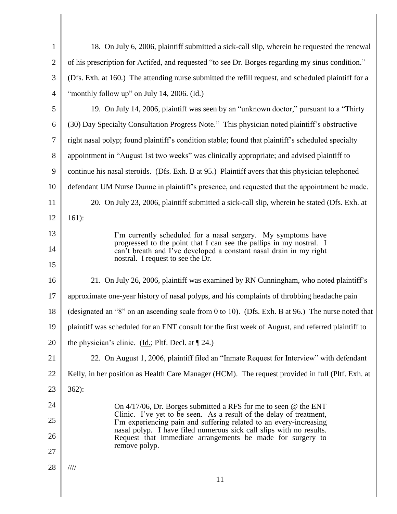| $\mathbf{1}$   | 18. On July 6, 2006, plaintiff submitted a sick-call slip, wherein he requested the renewal                                                                                    |
|----------------|--------------------------------------------------------------------------------------------------------------------------------------------------------------------------------|
| $\overline{2}$ | of his prescription for Actifed, and requested "to see Dr. Borges regarding my sinus condition."                                                                               |
| 3              | (Dfs. Exh. at 160.) The attending nurse submitted the refill request, and scheduled plaintiff for a                                                                            |
| $\overline{4}$ | "monthly follow up" on July 14, 2006. (Id.)                                                                                                                                    |
| 5              | 19. On July 14, 2006, plaintiff was seen by an "unknown doctor," pursuant to a "Thirty"                                                                                        |
| 6              | (30) Day Specialty Consultation Progress Note." This physician noted plaintiff's obstructive                                                                                   |
| 7              | right nasal polyp; found plaintiff's condition stable; found that plaintiff's scheduled specialty                                                                              |
| 8              | appointment in "August 1st two weeks" was clinically appropriate; and advised plaintiff to                                                                                     |
| 9              | continue his nasal steroids. (Dfs. Exh. B at 95.) Plaintiff avers that this physician telephoned                                                                               |
| 10             | defendant UM Nurse Dunne in plaintiff's presence, and requested that the appointment be made.                                                                                  |
| 11             | 20. On July 23, 2006, plaintiff submitted a sick-call slip, wherein he stated (Dfs. Exh. at                                                                                    |
| 12             | $161$ :                                                                                                                                                                        |
| 13             | I'm currently scheduled for a nasal sergery. My symptoms have                                                                                                                  |
| 14             | progressed to the point that I can see the pallips in my nostral. I<br>can't breath and I've developed a constant nasal drain in my right<br>nostral. I request to see the Dr. |
| 15             |                                                                                                                                                                                |
| 16             | 21. On July 26, 2006, plaintiff was examined by RN Cunningham, who noted plaintiff's                                                                                           |
| 17             | approximate one-year history of nasal polyps, and his complaints of throbbing headache pain                                                                                    |
| 18             | (designated an "8" on an ascending scale from 0 to 10). (Dfs. Exh. B at 96.) The nurse noted that                                                                              |
| 19             | plaintiff was scheduled for an ENT consult for the first week of August, and referred plaintiff to                                                                             |
| 20             | the physician's clinic. (Id.; Pltf. Decl. at $\P$ 24.)                                                                                                                         |
| 21             | 22. On August 1, 2006, plaintiff filed an "Inmate Request for Interview" with defendant                                                                                        |
| 22             | Kelly, in her position as Health Care Manager (HCM). The request provided in full (Pltf. Exh. at                                                                               |
| 23             | $362$ :                                                                                                                                                                        |
| 24             | On $4/17/06$ , Dr. Borges submitted a RFS for me to seen @ the ENT                                                                                                             |
| 25             | Clinic. I've yet to be seen. As a result of the delay of treatment,<br>I'm experiencing pain and suffering related to an every-increasing                                      |
| 26             | nasal polyp. I have filed numerous sick call slips with no results.<br>Request that immediate arrangements be made for surgery to                                              |
| 27             | remove polyp.                                                                                                                                                                  |
| 28             | $\frac{1}{1}$                                                                                                                                                                  |
|                | 11                                                                                                                                                                             |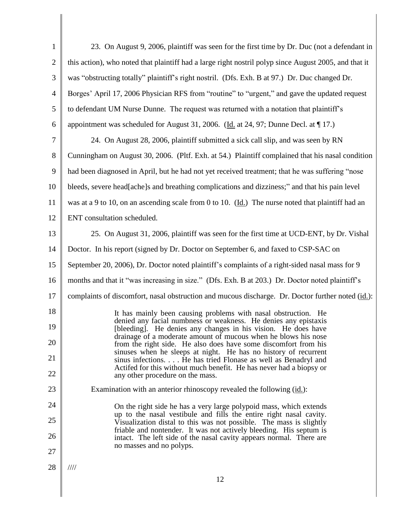| $\mathbf{1}$   | 23. On August 9, 2006, plaintiff was seen for the first time by Dr. Duc (not a defendant in                                                                                                                     |
|----------------|-----------------------------------------------------------------------------------------------------------------------------------------------------------------------------------------------------------------|
| $\overline{c}$ | this action), who noted that plaintiff had a large right nostril polyp since August 2005, and that it                                                                                                           |
| 3              | was "obstructing totally" plaintiff's right nostril. (Dfs. Exh. B at 97.) Dr. Duc changed Dr.                                                                                                                   |
| $\overline{4}$ | Borges' April 17, 2006 Physician RFS from "routine" to "urgent," and gave the updated request                                                                                                                   |
| 5              | to defendant UM Nurse Dunne. The request was returned with a notation that plaintiff's                                                                                                                          |
| 6              | appointment was scheduled for August 31, 2006. (Id. at 24, 97; Dunne Decl. at $\P$ 17.)                                                                                                                         |
| 7              | 24. On August 28, 2006, plaintiff submitted a sick call slip, and was seen by RN                                                                                                                                |
| 8              | Cunningham on August 30, 2006. (Pltf. Exh. at 54.) Plaintiff complained that his nasal condition                                                                                                                |
| 9              | had been diagnosed in April, but he had not yet received treatment; that he was suffering "nose                                                                                                                 |
| 10             | bleeds, severe head[ache]s and breathing complications and dizziness;" and that his pain level                                                                                                                  |
| 11             | was at a 9 to 10, on an ascending scale from 0 to 10. (Id.) The nurse noted that plaintiff had an                                                                                                               |
| 12             | ENT consultation scheduled.                                                                                                                                                                                     |
| 13             | 25. On August 31, 2006, plaintiff was seen for the first time at UCD-ENT, by Dr. Vishal                                                                                                                         |
| 14             | Doctor. In his report (signed by Dr. Doctor on September 6, and faxed to CSP-SAC on                                                                                                                             |
| 15             | September 20, 2006), Dr. Doctor noted plaintiff's complaints of a right-sided nasal mass for 9                                                                                                                  |
| 16             | months and that it "was increasing in size." (Dfs. Exh. B at 203.) Dr. Doctor noted plaintiff's                                                                                                                 |
| 17             | complaints of discomfort, nasal obstruction and mucous discharge. Dr. Doctor further noted (id.):                                                                                                               |
| 18             | It has mainly been causing problems with nasal obstruction. He                                                                                                                                                  |
| 19             | denied any facial numbness or weakness. He denies any epistaxis<br>[bleeding]. He denies any changes in his vision. He does have                                                                                |
| 20             | drainage of a moderate amount of mucous when he blows his nose<br>from the right side. He also does have some discomfort from his                                                                               |
| 21             | sinuses when he sleeps at night. He has no history of recurrent<br>sinus infections He has tried Flonase as well as Benadryl and                                                                                |
| 22             | Actifed for this without much benefit. He has never had a biopsy or<br>any other procedure on the mass.                                                                                                         |
| 23             | Examination with an anterior rhinoscopy revealed the following (id.):                                                                                                                                           |
| 24             | On the right side he has a very large polypoid mass, which extends                                                                                                                                              |
| 25             | up to the nasal vestibule and fills the entire right nasal cavity.<br>Visualization distal to this was not possible. The mass is slightly<br>friable and nontender. It was not actively bleeding. His septum is |
| 26             | intact. The left side of the nasal cavity appears normal. There are<br>no masses and no polyps.                                                                                                                 |
| 27             |                                                                                                                                                                                                                 |
| 28             | $\frac{1}{1}$                                                                                                                                                                                                   |
|                | 12                                                                                                                                                                                                              |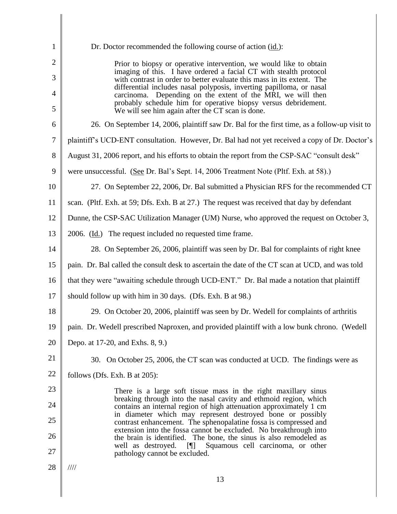| 1                   | Dr. Doctor recommended the following course of action (id.):                                                                                                                                                                                              |
|---------------------|-----------------------------------------------------------------------------------------------------------------------------------------------------------------------------------------------------------------------------------------------------------|
| $\overline{2}$      | Prior to biopsy or operative intervention, we would like to obtain                                                                                                                                                                                        |
| 3                   | imaging of this. I have ordered a facial CT with stealth protocol<br>with contrast in order to better evaluate this mass in its extent. The                                                                                                               |
| $\overline{4}$<br>5 | differential includes nasal polyposis, inverting papilloma, or nasal<br>carcinoma. Depending on the extent of the MRI, we will then<br>probably schedule him for operative biopsy versus debridement.<br>We will see him again after the CT scan is done. |
| 6                   | 26. On September 14, 2006, plaintiff saw Dr. Bal for the first time, as a follow-up visit to                                                                                                                                                              |
| $\tau$              | plaintiff's UCD-ENT consultation. However, Dr. Bal had not yet received a copy of Dr. Doctor's                                                                                                                                                            |
| 8                   | August 31, 2006 report, and his efforts to obtain the report from the CSP-SAC "consult desk"                                                                                                                                                              |
| 9                   | were unsuccessful. (See Dr. Bal's Sept. 14, 2006 Treatment Note (Pltf. Exh. at 58).)                                                                                                                                                                      |
| 10                  | 27. On September 22, 2006, Dr. Bal submitted a Physician RFS for the recommended CT                                                                                                                                                                       |
| 11                  | scan. (Pltf. Exh. at 59; Dfs. Exh. B at 27.) The request was received that day by defendant                                                                                                                                                               |
| 12                  | Dunne, the CSP-SAC Utilization Manager (UM) Nurse, who approved the request on October 3,                                                                                                                                                                 |
| 13                  | 2006. (Id.) The request included no requested time frame.                                                                                                                                                                                                 |
| 14                  | 28. On September 26, 2006, plaintiff was seen by Dr. Bal for complaints of right knee                                                                                                                                                                     |
| 15                  | pain. Dr. Bal called the consult desk to ascertain the date of the CT scan at UCD, and was told                                                                                                                                                           |
| 16                  | that they were "awaiting schedule through UCD-ENT." Dr. Bal made a notation that plaintiff                                                                                                                                                                |
| 17                  | should follow up with him in 30 days. (Dfs. Exh. B at 98.)                                                                                                                                                                                                |
| 18                  | 29. On October 20, 2006, plaintiff was seen by Dr. Wedell for complaints of arthritis                                                                                                                                                                     |
| 19                  | pain. Dr. Wedell prescribed Naproxen, and provided plaintiff with a low bunk chrono. (Wedell                                                                                                                                                              |
| 20                  | Depo. at 17-20, and Exhs. 8, 9.)                                                                                                                                                                                                                          |
| 21                  | 30. On October 25, 2006, the CT scan was conducted at UCD. The findings were as                                                                                                                                                                           |
| 22                  | follows (Dfs. Exh. B at 205):                                                                                                                                                                                                                             |
| 23                  | There is a large soft tissue mass in the right maxillary sinus                                                                                                                                                                                            |
| 24                  | breaking through into the nasal cavity and ethmoid region, which<br>contains an internal region of high attenuation approximately 1 cm                                                                                                                    |
| 25                  | in diameter which may represent destroyed bone or possibly<br>contrast enhancement. The sphenopalatine fossa is compressed and                                                                                                                            |
| 26                  | extension into the fossa cannot be excluded. No breakthrough into<br>the brain is identified. The bone, the sinus is also remodeled as                                                                                                                    |
| 27                  | Squamous cell carcinoma, or other<br>well as destroyed.<br>$\blacksquare$<br>pathology cannot be excluded.                                                                                                                                                |
| 28                  | 1111                                                                                                                                                                                                                                                      |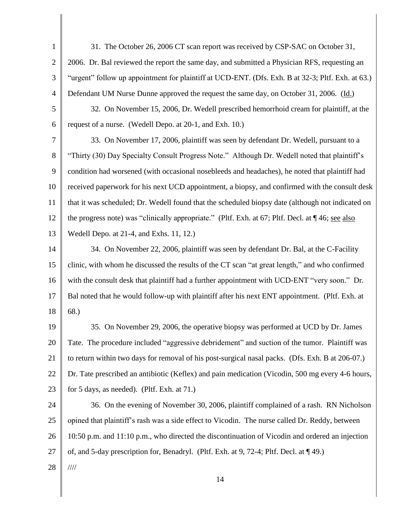1 2 3 4 5 6 7 8 9 10 11 12 13 14 15 16 17 18 19 20 21 22 23 24 25 26 27 28 14 31. The October 26, 2006 CT scan report was received by CSP-SAC on October 31, 2006. Dr. Bal reviewed the report the same day, and submitted a Physician RFS, requesting an "urgent" follow up appointment for plaintiff at UCD-ENT. (Dfs. Exh. B at 32-3; Pltf. Exh. at 63.) Defendant UM Nurse Dunne approved the request the same day, on October 31, 2006. (Id.) 32. On November 15, 2006, Dr. Wedell prescribed hemorrhoid cream for plaintiff, at the request of a nurse. (Wedell Depo. at 20-1, and Exh. 10.) 33. On November 17, 2006, plaintiff was seen by defendant Dr. Wedell, pursuant to a "Thirty (30) Day Specialty Consult Progress Note." Although Dr. Wedell noted that plaintiff"s condition had worsened (with occasional nosebleeds and headaches), he noted that plaintiff had received paperwork for his next UCD appointment, a biopsy, and confirmed with the consult desk that it was scheduled; Dr. Wedell found that the scheduled biopsy date (although not indicated on the progress note) was "clinically appropriate." (Pltf. Exh. at 67; Pltf. Decl. at ¶ 46; see also Wedell Depo. at 21-4, and Exhs. 11, 12.) 34. On November 22, 2006, plaintiff was seen by defendant Dr. Bal, at the C-Facility clinic, with whom he discussed the results of the CT scan "at great length," and who confirmed with the consult desk that plaintiff had a further appointment with UCD-ENT "very soon." Dr. Bal noted that he would follow-up with plaintiff after his next ENT appointment. (Pltf. Exh. at 68.) 35. On November 29, 2006, the operative biopsy was performed at UCD by Dr. James Tate. The procedure included "aggressive debridement" and suction of the tumor. Plaintiff was to return within two days for removal of his post-surgical nasal packs. (Dfs. Exh. B at 206-07.) Dr. Tate prescribed an antibiotic (Keflex) and pain medication (Vicodin, 500 mg every 4-6 hours, for 5 days, as needed). (Pltf. Exh. at 71.) 36. On the evening of November 30, 2006, plaintiff complained of a rash. RN Nicholson opined that plaintiff"s rash was a side effect to Vicodin. The nurse called Dr. Reddy, between 10:50 p.m. and 11:10 p.m., who directed the discontinuation of Vicodin and ordered an injection of, and 5-day prescription for, Benadryl. (Pltf. Exh. at 9, 72-4; Pltf. Decl. at ¶ 49.) ////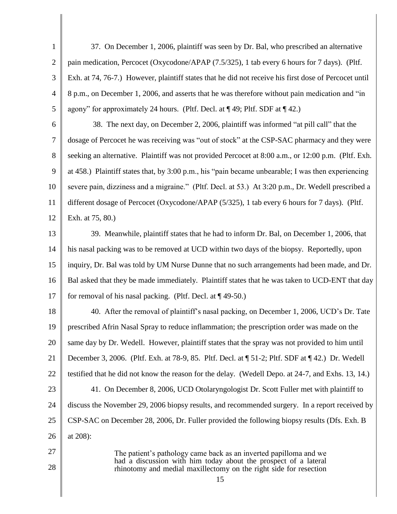1 2 3 4 5 6 7 8 9 10 11 12 13 14 15 16 17 18 19 20 21 22 37. On December 1, 2006, plaintiff was seen by Dr. Bal, who prescribed an alternative pain medication, Percocet (Oxycodone/APAP (7.5/325), 1 tab every 6 hours for 7 days). (Pltf. Exh. at 74, 76-7.) However, plaintiff states that he did not receive his first dose of Percocet until 8 p.m., on December 1, 2006, and asserts that he was therefore without pain medication and "in agony" for approximately 24 hours. (Pltf. Decl. at  $\P$  49; Pltf. SDF at  $\P$  42.) 38. The next day, on December 2, 2006, plaintiff was informed "at pill call" that the dosage of Percocet he was receiving was "out of stock" at the CSP-SAC pharmacy and they were seeking an alternative. Plaintiff was not provided Percocet at 8:00 a.m., or 12:00 p.m. (Pltf. Exh. at 458.) Plaintiff states that, by 3:00 p.m., his "pain became unbearable; I was then experiencing severe pain, dizziness and a migraine." (Pltf. Decl. at 53.) At 3:20 p.m., Dr. Wedell prescribed a different dosage of Percocet (Oxycodone/APAP (5/325), 1 tab every 6 hours for 7 days). (Pltf. Exh. at 75, 80.) 39. Meanwhile, plaintiff states that he had to inform Dr. Bal, on December 1, 2006, that his nasal packing was to be removed at UCD within two days of the biopsy. Reportedly, upon inquiry, Dr. Bal was told by UM Nurse Dunne that no such arrangements had been made, and Dr. Bal asked that they be made immediately. Plaintiff states that he was taken to UCD-ENT that day for removal of his nasal packing. (Pltf. Decl. at ¶ 49-50.) 40. After the removal of plaintiff"s nasal packing, on December 1, 2006, UCD"s Dr. Tate prescribed Afrin Nasal Spray to reduce inflammation; the prescription order was made on the same day by Dr. Wedell. However, plaintiff states that the spray was not provided to him until December 3, 2006. (Pltf. Exh. at 78-9, 85. Pltf. Decl. at ¶ 51-2; Pltf. SDF at ¶ 42.) Dr. Wedell testified that he did not know the reason for the delay. (Wedell Depo. at 24-7, and Exhs. 13, 14.)

23 24 25 26 41. On December 8, 2006, UCD Otolaryngologist Dr. Scott Fuller met with plaintiff to discuss the November 29, 2006 biopsy results, and recommended surgery. In a report received by CSP-SAC on December 28, 2006, Dr. Fuller provided the following biopsy results (Dfs. Exh. B at 208):

27

28

The patient's pathology came back as an inverted papilloma and we had a discussion with him today about the prospect of a lateral rhinotomy and medial maxillectomy on the right side for resection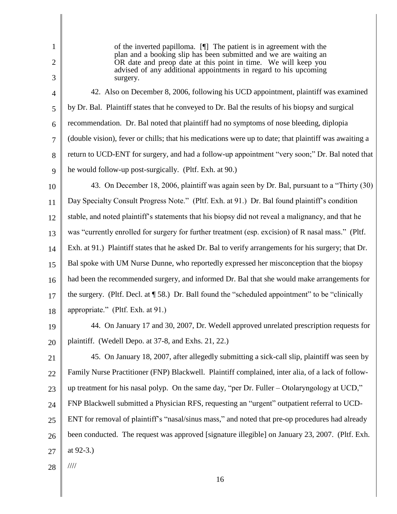2

1

of the inverted papilloma. [¶] The patient is in agreement with the plan and a booking slip has been submitted and we are waiting an OR date and preop date at this point in time. We will keep you advised of any additional appointments in regard to his upcoming surgery.

3

4 5 6 7 8 9 42. Also on December 8, 2006, following his UCD appointment, plaintiff was examined by Dr. Bal. Plaintiff states that he conveyed to Dr. Bal the results of his biopsy and surgical recommendation. Dr. Bal noted that plaintiff had no symptoms of nose bleeding, diplopia (double vision), fever or chills; that his medications were up to date; that plaintiff was awaiting a return to UCD-ENT for surgery, and had a follow-up appointment "very soon;" Dr. Bal noted that he would follow-up post-surgically. (Pltf. Exh. at 90.)

10

11 12 13 14 15 16 17 18 43. On December 18, 2006, plaintiff was again seen by Dr. Bal, pursuant to a "Thirty (30) Day Specialty Consult Progress Note." (Pltf. Exh. at 91.) Dr. Bal found plaintiff's condition stable, and noted plaintiff"s statements that his biopsy did not reveal a malignancy, and that he was "currently enrolled for surgery for further treatment (esp. excision) of R nasal mass." (Pltf. Exh. at 91.) Plaintiff states that he asked Dr. Bal to verify arrangements for his surgery; that Dr. Bal spoke with UM Nurse Dunne, who reportedly expressed her misconception that the biopsy had been the recommended surgery, and informed Dr. Bal that she would make arrangements for the surgery. (Pltf. Decl. at ¶ 58.) Dr. Ball found the "scheduled appointment" to be "clinically appropriate." (Pltf. Exh. at 91.)

19

20 44. On January 17 and 30, 2007, Dr. Wedell approved unrelated prescription requests for plaintiff. (Wedell Depo. at 37-8, and Exhs. 21, 22.)

21 22 23 24 25 26 27 45. On January 18, 2007, after allegedly submitting a sick-call slip, plaintiff was seen by Family Nurse Practitioner (FNP) Blackwell. Plaintiff complained, inter alia, of a lack of followup treatment for his nasal polyp. On the same day, "per Dr. Fuller – Otolaryngology at UCD," FNP Blackwell submitted a Physician RFS, requesting an "urgent" outpatient referral to UCD-ENT for removal of plaintiff"s "nasal/sinus mass," and noted that pre-op procedures had already been conducted. The request was approved [signature illegible] on January 23, 2007. (Pltf. Exh. at 92-3.)

28

////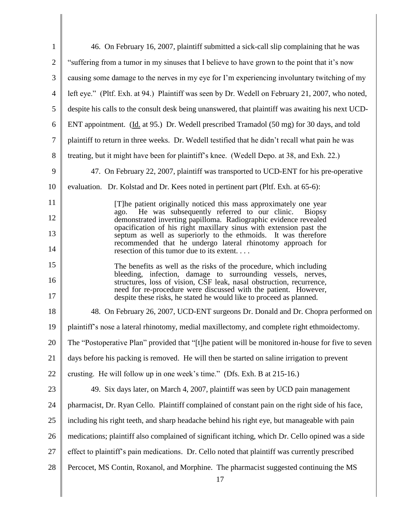| $\mathbf{1}$     | 46. On February 16, 2007, plaintiff submitted a sick-call slip complaining that he was                                                                   |
|------------------|----------------------------------------------------------------------------------------------------------------------------------------------------------|
| $\overline{2}$   | "suffering from a tumor in my sinuses that I believe to have grown to the point that it's now                                                            |
| 3                | causing some damage to the nerves in my eye for I'm experiencing involuntary twitching of my                                                             |
| $\overline{4}$   | left eye." (Pltf. Exh. at 94.) Plaintiff was seen by Dr. Wedell on February 21, 2007, who noted,                                                         |
| 5                | despite his calls to the consult desk being unanswered, that plaintiff was awaiting his next UCD-                                                        |
| 6                | ENT appointment. (Id. at 95.) Dr. Wedell prescribed Tramadol (50 mg) for 30 days, and told                                                               |
| $\boldsymbol{7}$ | plaintiff to return in three weeks. Dr. Wedell testified that he didn't recall what pain he was                                                          |
| 8                | treating, but it might have been for plaintiff's knee. (Wedell Depo. at 38, and Exh. 22.)                                                                |
| 9                | 47. On February 22, 2007, plaintiff was transported to UCD-ENT for his pre-operative                                                                     |
| 10               | evaluation. Dr. Kolstad and Dr. Kees noted in pertinent part (Pltf. Exh. at 65-6):                                                                       |
| 11               | [T]he patient originally noticed this mass approximately one year<br>He was subsequently referred to our clinic.                                         |
| 12               | Biopsy<br>ago.<br>demonstrated inverting papilloma. Radiographic evidence revealed<br>opacification of his right maxillary sinus with extension past the |
| 13               | septum as well as superiorly to the ethmoids. It was therefore<br>recommended that he undergo lateral rhinotomy approach for                             |
| 14               | resection of this tumor due to its extent                                                                                                                |
| 15               | The benefits as well as the risks of the procedure, which including<br>bleeding, infection, damage to surrounding vessels, nerves,                       |
| 16               | structures, loss of vision, CSF leak, nasal obstruction, recurrence,<br>need for re-procedure were discussed with the patient. However,                  |
| 17               | despite these risks, he stated he would like to proceed as planned.                                                                                      |
| 18               | 48. On February 26, 2007, UCD-ENT surgeons Dr. Donald and Dr. Chopra performed on                                                                        |
| 19               | plaintiff's nose a lateral rhinotomy, medial maxillectomy, and complete right ethmoidectomy.                                                             |
| 20               | The "Postoperative Plan" provided that "[t] he patient will be monitored in-house for five to seven                                                      |
| 21               | days before his packing is removed. He will then be started on saline irrigation to prevent                                                              |
| 22               | crusting. He will follow up in one week's time." (Dfs. Exh. B at 215-16.)                                                                                |
| 23               | 49. Six days later, on March 4, 2007, plaintiff was seen by UCD pain management                                                                          |
| 24               | pharmacist, Dr. Ryan Cello. Plaintiff complained of constant pain on the right side of his face,                                                         |
| 25               | including his right teeth, and sharp headache behind his right eye, but manageable with pain                                                             |
| 26               | medications; plaintiff also complained of significant itching, which Dr. Cello opined was a side                                                         |
| 27               | effect to plaintiff's pain medications. Dr. Cello noted that plaintiff was currently prescribed                                                          |
| 28               | Percocet, MS Contin, Roxanol, and Morphine. The pharmacist suggested continuing the MS<br>17                                                             |

║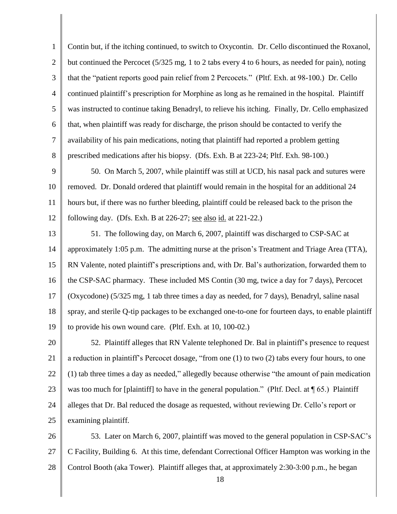1 2 3 4 5 6 7 8 Contin but, if the itching continued, to switch to Oxycontin. Dr. Cello discontinued the Roxanol, but continued the Percocet (5/325 mg, 1 to 2 tabs every 4 to 6 hours, as needed for pain), noting that the "patient reports good pain relief from 2 Percocets." (Pltf. Exh. at 98-100.) Dr. Cello continued plaintiff"s prescription for Morphine as long as he remained in the hospital. Plaintiff was instructed to continue taking Benadryl, to relieve his itching. Finally, Dr. Cello emphasized that, when plaintiff was ready for discharge, the prison should be contacted to verify the availability of his pain medications, noting that plaintiff had reported a problem getting prescribed medications after his biopsy. (Dfs. Exh. B at 223-24; Pltf. Exh. 98-100.)

9 10 11 12 50. On March 5, 2007, while plaintiff was still at UCD, his nasal pack and sutures were removed. Dr. Donald ordered that plaintiff would remain in the hospital for an additional 24 hours but, if there was no further bleeding, plaintiff could be released back to the prison the following day. (Dfs. Exh. B at 226-27; see also id. at 221-22.)

13 14 15 16 17 18 19 51. The following day, on March 6, 2007, plaintiff was discharged to CSP-SAC at approximately 1:05 p.m. The admitting nurse at the prison"s Treatment and Triage Area (TTA), RN Valente, noted plaintiff"s prescriptions and, with Dr. Bal"s authorization, forwarded them to the CSP-SAC pharmacy. These included MS Contin (30 mg, twice a day for 7 days), Percocet (Oxycodone) (5/325 mg, 1 tab three times a day as needed, for 7 days), Benadryl, saline nasal spray, and sterile Q-tip packages to be exchanged one-to-one for fourteen days, to enable plaintiff to provide his own wound care. (Pltf. Exh. at 10, 100-02.)

20 21 22 23 24 25 52. Plaintiff alleges that RN Valente telephoned Dr. Bal in plaintiff"s presence to request a reduction in plaintiff"s Percocet dosage, "from one (1) to two (2) tabs every four hours, to one (1) tab three times a day as needed," allegedly because otherwise "the amount of pain medication was too much for [plaintiff] to have in the general population." (Pltf. Decl. at  $\P$  65.) Plaintiff alleges that Dr. Bal reduced the dosage as requested, without reviewing Dr. Cello"s report or examining plaintiff.

26 27 28 53. Later on March 6, 2007, plaintiff was moved to the general population in CSP-SAC"s C Facility, Building 6. At this time, defendant Correctional Officer Hampton was working in the Control Booth (aka Tower). Plaintiff alleges that, at approximately 2:30-3:00 p.m., he began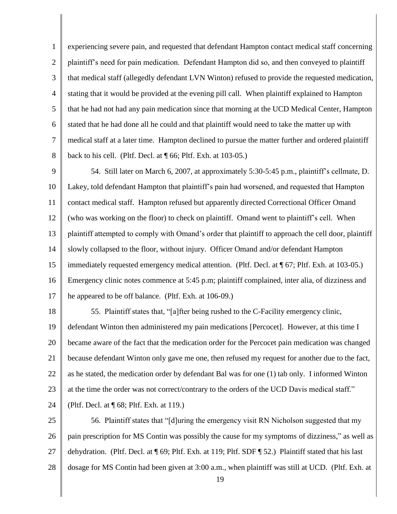1 2 3 4 5 6 7 8 experiencing severe pain, and requested that defendant Hampton contact medical staff concerning plaintiff"s need for pain medication. Defendant Hampton did so, and then conveyed to plaintiff that medical staff (allegedly defendant LVN Winton) refused to provide the requested medication, stating that it would be provided at the evening pill call. When plaintiff explained to Hampton that he had not had any pain medication since that morning at the UCD Medical Center, Hampton stated that he had done all he could and that plaintiff would need to take the matter up with medical staff at a later time. Hampton declined to pursue the matter further and ordered plaintiff back to his cell. (Pltf. Decl. at ¶ 66; Pltf. Exh. at 103-05.)

9 10 11 12 13 14 15 16 17 54. Still later on March 6, 2007, at approximately 5:30-5:45 p.m., plaintiff"s cellmate, D. Lakey, told defendant Hampton that plaintiff"s pain had worsened, and requested that Hampton contact medical staff. Hampton refused but apparently directed Correctional Officer Omand (who was working on the floor) to check on plaintiff. Omand went to plaintiff"s cell. When plaintiff attempted to comply with Omand"s order that plaintiff to approach the cell door, plaintiff slowly collapsed to the floor, without injury. Officer Omand and/or defendant Hampton immediately requested emergency medical attention. (Pltf. Decl. at ¶ 67; Pltf. Exh. at 103-05.) Emergency clinic notes commence at 5:45 p.m; plaintiff complained, inter alia, of dizziness and he appeared to be off balance. (Pltf. Exh. at 106-09.)

18 19 20 21 22 23 55. Plaintiff states that, "[a]fter being rushed to the C-Facility emergency clinic, defendant Winton then administered my pain medications [Percocet]. However, at this time I became aware of the fact that the medication order for the Percocet pain medication was changed because defendant Winton only gave me one, then refused my request for another due to the fact, as he stated, the medication order by defendant Bal was for one (1) tab only. I informed Winton at the time the order was not correct/contrary to the orders of the UCD Davis medical staff."

24 (Pltf. Decl. at ¶ 68; Pltf. Exh. at 119.)

25 26 27 28 56. Plaintiff states that "[d]uring the emergency visit RN Nicholson suggested that my pain prescription for MS Contin was possibly the cause for my symptoms of dizziness," as well as dehydration. (Pltf. Decl. at ¶ 69; Pltf. Exh. at 119; Pltf. SDF ¶ 52.) Plaintiff stated that his last dosage for MS Contin had been given at 3:00 a.m., when plaintiff was still at UCD. (Pltf. Exh. at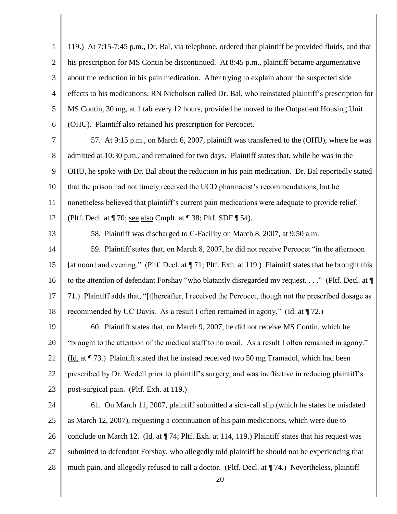| $\mathbf{1}$   | 119.) At 7:15-7:45 p.m., Dr. Bal, via telephone, ordered that plaintiff be provided fluids, and that       |
|----------------|------------------------------------------------------------------------------------------------------------|
| $\overline{2}$ | his prescription for MS Contin be discontinued. At 8:45 p.m., plaintiff became argumentative               |
| 3              | about the reduction in his pain medication. After trying to explain about the suspected side               |
| $\overline{4}$ | effects to his medications, RN Nicholson called Dr. Bal, who reinstated plaintiff's prescription for       |
| 5              | MS Contin, 30 mg, at 1 tab every 12 hours, provided he moved to the Outpatient Housing Unit                |
| 6              | (OHU). Plaintiff also retained his prescription for Percocet.                                              |
| 7              | 57. At 9:15 p.m., on March 6, 2007, plaintiff was transferred to the (OHU), where he was                   |
| 8              | admitted at 10:30 p.m., and remained for two days. Plaintiff states that, while he was in the              |
| 9              | OHU, he spoke with Dr. Bal about the reduction in his pain medication. Dr. Bal reportedly stated           |
| 10             | that the prison had not timely received the UCD pharmacist's recommendations, but he                       |
| 11             | nonetheless believed that plaintiff's current pain medications were adequate to provide relief.            |
| 12             | (Pltf. Decl. at $\P$ 70; <u>see also</u> Cmplt. at $\P$ 38; Pltf. SDF $\P$ 54).                            |
| 13             | 58. Plaintiff was discharged to C-Facility on March 8, 2007, at 9:50 a.m.                                  |
| 14             | 59. Plaintiff states that, on March 8, 2007, he did not receive Percocet "in the afternoon                 |
| 15             | [at noon] and evening." (Pltf. Decl. at $\P$ 71; Pltf. Exh. at 119.) Plaintiff states that he brought this |
| 16             | to the attention of defendant Forshay "who blatantly disregarded my request" (Pltf. Decl. at ¶             |
| 17             | 71.) Plaintiff adds that, "[t]hereafter, I received the Percocet, though not the prescribed dosage as      |
| 18             | recommended by UC Davis. As a result I often remained in agony." ( $\underline{Id}$ . at $\P$ 72.)         |
| 19             | 60. Plaintiff states that, on March 9, 2007, he did not receive MS Contin, which he                        |
| 20             | "brought to the attention of the medical staff to no avail. As a result I often remained in agony."        |
| 21             | (Id. at ¶ 73.) Plaintiff stated that he instead received two 50 mg Tramadol, which had been                |
| 22             | prescribed by Dr. Wedell prior to plaintiff's surgery, and was ineffective in reducing plaintiff's         |
| 23             | post-surgical pain. (Pltf. Exh. at 119.)                                                                   |
| 24             | 61. On March 11, 2007, plaintiff submitted a sick-call slip (which he states he misdated                   |
| 25             | as March 12, 2007), requesting a continuation of his pain medications, which were due to                   |
| 26             | conclude on March 12. (Id. at 174; Pltf. Exh. at 114, 119.) Plaintiff states that his request was          |
| 27             | submitted to defendant Forshay, who allegedly told plaintiff he should not be experiencing that            |
| 28             | much pain, and allegedly refused to call a doctor. (Pltf. Decl. at ¶74.) Nevertheless, plaintiff<br>20     |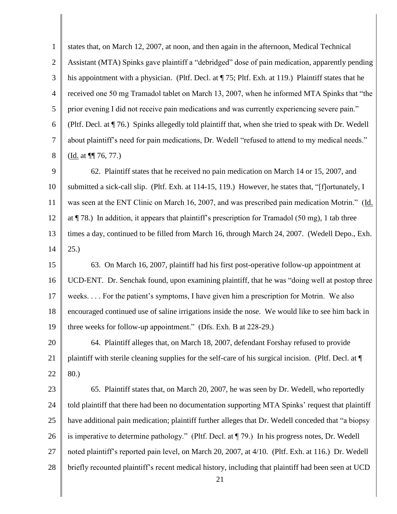1 2 3 4 5 6 7 8 9 10 11 12 13 14 15 16 17 18 19 20 21 22 23 24 25 states that, on March 12, 2007, at noon, and then again in the afternoon, Medical Technical Assistant (MTA) Spinks gave plaintiff a "debridged" dose of pain medication, apparently pending his appointment with a physician. (Pltf. Decl. at  $\P$  75; Pltf. Exh. at 119.) Plaintiff states that he received one 50 mg Tramadol tablet on March 13, 2007, when he informed MTA Spinks that "the prior evening I did not receive pain medications and was currently experiencing severe pain." (Pltf. Decl. at ¶ 76.) Spinks allegedly told plaintiff that, when she tried to speak with Dr. Wedell about plaintiff"s need for pain medications, Dr. Wedell "refused to attend to my medical needs." (Id. at ¶¶ 76, 77.) 62. Plaintiff states that he received no pain medication on March 14 or 15, 2007, and submitted a sick-call slip. (Pltf. Exh. at 114-15, 119.) However, he states that, "[f]ortunately, I was seen at the ENT Clinic on March 16, 2007, and was prescribed pain medication Motrin." (Id. at  $\P$  78.) In addition, it appears that plaintiff's prescription for Tramadol (50 mg), 1 tab three times a day, continued to be filled from March 16, through March 24, 2007. (Wedell Depo., Exh. 25.) 63. On March 16, 2007, plaintiff had his first post-operative follow-up appointment at UCD-ENT. Dr. Senchak found, upon examining plaintiff, that he was "doing well at postop three weeks. . . . For the patient's symptoms, I have given him a prescription for Motrin. We also encouraged continued use of saline irrigations inside the nose. We would like to see him back in three weeks for follow-up appointment." (Dfs. Exh. B at 228-29.) 64. Plaintiff alleges that, on March 18, 2007, defendant Forshay refused to provide plaintiff with sterile cleaning supplies for the self-care of his surgical incision. (Pltf. Decl. at ¶ 80.) 65. Plaintiff states that, on March 20, 2007, he was seen by Dr. Wedell, who reportedly told plaintiff that there had been no documentation supporting MTA Spinks" request that plaintiff have additional pain medication; plaintiff further alleges that Dr. Wedell conceded that "a biopsy

- 26 is imperative to determine pathology." (Pltf. Decl. at ¶ 79.) In his progress notes, Dr. Wedell
- 27 noted plaintiff"s reported pain level, on March 20, 2007, at 4/10. (Pltf. Exh. at 116.) Dr. Wedell
- 28 briefly recounted plaintiff"s recent medical history, including that plaintiff had been seen at UCD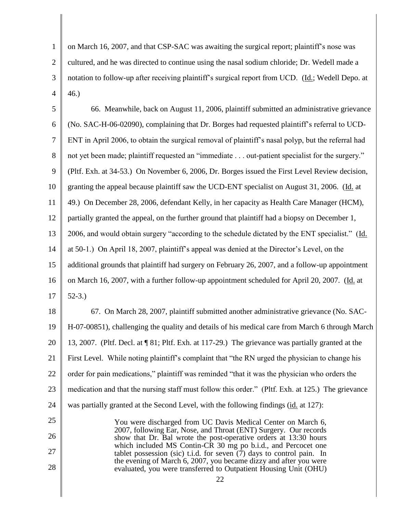1 2 3 4 on March 16, 2007, and that CSP-SAC was awaiting the surgical report; plaintiff"s nose was cultured, and he was directed to continue using the nasal sodium chloride; Dr. Wedell made a notation to follow-up after receiving plaintiff"s surgical report from UCD. (Id.; Wedell Depo. at 46.)

5 6 7 8 9 10 11 12 13 14 15 16 17 66. Meanwhile, back on August 11, 2006, plaintiff submitted an administrative grievance (No. SAC-H-06-02090), complaining that Dr. Borges had requested plaintiff"s referral to UCD-ENT in April 2006, to obtain the surgical removal of plaintiff"s nasal polyp, but the referral had not yet been made; plaintiff requested an "immediate . . . out-patient specialist for the surgery." (Pltf. Exh. at 34-53.) On November 6, 2006, Dr. Borges issued the First Level Review decision, granting the appeal because plaintiff saw the UCD-ENT specialist on August 31, 2006. (Id. at 49.) On December 28, 2006, defendant Kelly, in her capacity as Health Care Manager (HCM), partially granted the appeal, on the further ground that plaintiff had a biopsy on December 1, 2006, and would obtain surgery "according to the schedule dictated by the ENT specialist." (Id. at 50-1.) On April 18, 2007, plaintiff"s appeal was denied at the Director"s Level, on the additional grounds that plaintiff had surgery on February 26, 2007, and a follow-up appointment on March 16, 2007, with a further follow-up appointment scheduled for April 20, 2007. (Id. at 52-3.)

18 19 20 21 22 23 24 67. On March 28, 2007, plaintiff submitted another administrative grievance (No. SAC-H-07-00851), challenging the quality and details of his medical care from March 6 through March 13, 2007. (Pltf. Decl. at ¶ 81; Pltf. Exh. at 117-29.) The grievance was partially granted at the First Level. While noting plaintiff"s complaint that "the RN urged the physician to change his order for pain medications," plaintiff was reminded "that it was the physician who orders the medication and that the nursing staff must follow this order." (Pltf. Exh. at 125.) The grievance was partially granted at the Second Level, with the following findings (id. at 127):

You were discharged from UC Davis Medical Center on March 6, 2007, following Ear, Nose, and Throat (ENT) Surgery. Our records show that Dr. Bal wrote the post-operative orders at 13:30 hours which included MS Contin-CR 30 mg po b.i.d., and Percocet one tablet possession (sic) t.i.d. for seven  $(7)$  days to control pain. In the evening of March 6, 2007, you became dizzy and after you were evaluated, you were transferred to Outpatient Housing Unit (OHU)

25

26

27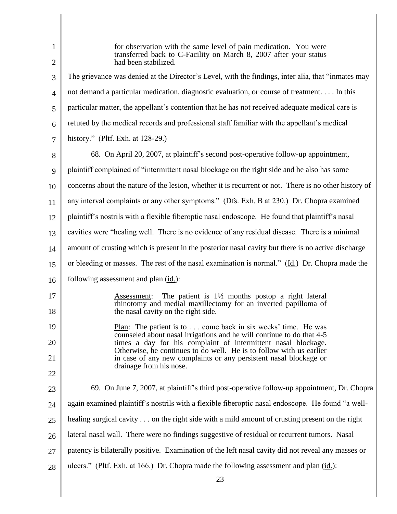| $\mathbf{1}$<br>$\overline{2}$ | for observation with the same level of pain medication. You were<br>transferred back to C-Facility on March 8, 2007 after your status<br>had been stabilized.                                                 |
|--------------------------------|---------------------------------------------------------------------------------------------------------------------------------------------------------------------------------------------------------------|
| 3                              | The grievance was denied at the Director's Level, with the findings, inter alia, that "inmates may                                                                                                            |
|                                | not demand a particular medication, diagnostic evaluation, or course of treatment In this                                                                                                                     |
| $\overline{4}$                 |                                                                                                                                                                                                               |
| 5                              | particular matter, the appellant's contention that he has not received adequate medical care is                                                                                                               |
| 6                              | refuted by the medical records and professional staff familiar with the appellant's medical                                                                                                                   |
| 7                              | history." (Pltf. Exh. at $128-29$ .)                                                                                                                                                                          |
| 8                              | 68. On April 20, 2007, at plaintiff's second post-operative follow-up appointment,                                                                                                                            |
| 9                              | plaintiff complained of "intermittent nasal blockage on the right side and he also has some                                                                                                                   |
| 10                             | concerns about the nature of the lesion, whether it is recurrent or not. There is no other history of                                                                                                         |
| 11                             | any interval complaints or any other symptoms." (Dfs. Exh. B at 230.) Dr. Chopra examined                                                                                                                     |
| 12                             | plaintiff's nostrils with a flexible fiberoptic nasal endoscope. He found that plaintiff's nasal                                                                                                              |
| 13                             | cavities were "healing well. There is no evidence of any residual disease. There is a minimal                                                                                                                 |
| 14                             | amount of crusting which is present in the posterior nasal cavity but there is no active discharge                                                                                                            |
| 15                             | or bleeding or masses. The rest of the nasal examination is normal." $(\underline{Id})$ Dr. Chopra made the                                                                                                   |
| 16                             | following assessment and plan (id.):                                                                                                                                                                          |
| 17<br>18                       | The patient is $1\frac{1}{2}$ months postop a right lateral<br>Assessment:<br>rhinotomy and medial maxillectomy for an inverted papilloma of<br>the nasal cavity on the right side.                           |
| 19                             | Plan: The patient is to come back in six weeks' time. He was                                                                                                                                                  |
| 20                             | counseled about nasal irrigations and he will continue to do that 4-5<br>times a day for his complaint of intermittent nasal blockage.<br>Otherwise, he continues to do well. He is to follow with us earlier |
| 21                             | in case of any new complaints or any persistent nasal blockage or                                                                                                                                             |
| 22                             | drainage from his nose.                                                                                                                                                                                       |
| 23                             | 69. On June 7, 2007, at plaintiff's third post-operative follow-up appointment, Dr. Chopra                                                                                                                    |
| 24                             | again examined plaintiff's nostrils with a flexible fiberoptic nasal endoscope. He found "a well-                                                                                                             |
| 25                             | healing surgical cavity on the right side with a mild amount of crusting present on the right                                                                                                                 |
| 26                             | lateral nasal wall. There were no findings suggestive of residual or recurrent tumors. Nasal                                                                                                                  |
| 27                             | patency is bilaterally positive. Examination of the left nasal cavity did not reveal any masses or                                                                                                            |
| 28                             | ulcers." (Pltf. Exh. at 166.) Dr. Chopra made the following assessment and plan (id.):                                                                                                                        |
|                                | 23                                                                                                                                                                                                            |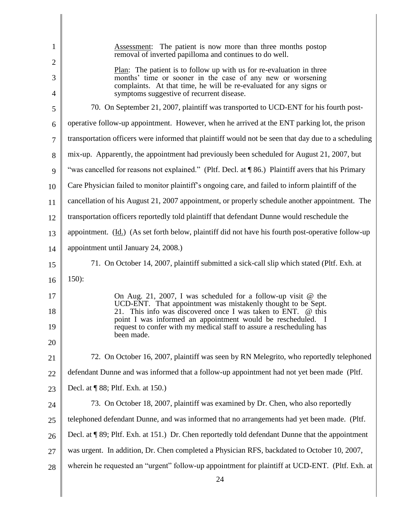| 1              | Assessment: The patient is now more than three months postop<br>removal of inverted papilloma and continues to do well.                                                                                                                               |
|----------------|-------------------------------------------------------------------------------------------------------------------------------------------------------------------------------------------------------------------------------------------------------|
| $\overline{2}$ |                                                                                                                                                                                                                                                       |
| 3<br>4         | Plan: The patient is to follow up with us for re-evaluation in three<br>months' time or sooner in the case of any new or worsening<br>complaints. At that time, he will be re-evaluated for any signs or<br>symptoms suggestive of recurrent disease. |
| 5              | 70. On September 21, 2007, plaintiff was transported to UCD-ENT for his fourth post-                                                                                                                                                                  |
| 6              | operative follow-up appointment. However, when he arrived at the ENT parking lot, the prison                                                                                                                                                          |
| 7              | transportation officers were informed that plaintiff would not be seen that day due to a scheduling                                                                                                                                                   |
| 8              | mix-up. Apparently, the appointment had previously been scheduled for August 21, 2007, but                                                                                                                                                            |
| 9              | "was cancelled for reasons not explained." (Pltf. Decl. at ¶86.) Plaintiff avers that his Primary                                                                                                                                                     |
| 10             | Care Physician failed to monitor plaintiff's ongoing care, and failed to inform plaintiff of the                                                                                                                                                      |
| 11             | cancellation of his August 21, 2007 appointment, or properly schedule another appointment. The                                                                                                                                                        |
| 12             | transportation officers reportedly told plaintiff that defendant Dunne would reschedule the                                                                                                                                                           |
| 13             | appointment. $(\underline{Id})$ (As set forth below, plaintiff did not have his fourth post-operative follow-up                                                                                                                                       |
| 14             | appointment until January 24, 2008.)                                                                                                                                                                                                                  |
| 15             | 71. On October 14, 2007, plaintiff submitted a sick-call slip which stated (Pltf. Exh. at                                                                                                                                                             |
| 16             | $150$ :                                                                                                                                                                                                                                               |
| 17             | On Aug. 21, 2007, I was scheduled for a follow-up visit $\omega$ the                                                                                                                                                                                  |
| 18             | UCD-ENT. That appointment was mistakenly thought to be Sept.<br>This info was discovered once I was taken to ENT. @ this                                                                                                                              |
| 19             | point I was informed an appointment would be rescheduled. I<br>request to confer with my medical staff to assure a rescheduling has                                                                                                                   |
| 20             | been made.                                                                                                                                                                                                                                            |
| 21             | 72. On October 16, 2007, plaintiff was seen by RN Melegrito, who reportedly telephoned                                                                                                                                                                |
| 22             | defendant Dunne and was informed that a follow-up appointment had not yet been made (Pltf.                                                                                                                                                            |
| 23             | Decl. at ¶ 88; Pltf. Exh. at 150.)                                                                                                                                                                                                                    |
| 24             | 73. On October 18, 2007, plaintiff was examined by Dr. Chen, who also reportedly                                                                                                                                                                      |
| 25             | telephoned defendant Dunne, and was informed that no arrangements had yet been made. (Pltf.                                                                                                                                                           |
| 26             | Decl. at ¶ 89; Pltf. Exh. at 151.) Dr. Chen reportedly told defendant Dunne that the appointment                                                                                                                                                      |
| 27             | was urgent. In addition, Dr. Chen completed a Physician RFS, backdated to October 10, 2007,                                                                                                                                                           |
| 28             | wherein he requested an "urgent" follow-up appointment for plaintiff at UCD-ENT. (Pltf. Exh. at                                                                                                                                                       |
|                | 24                                                                                                                                                                                                                                                    |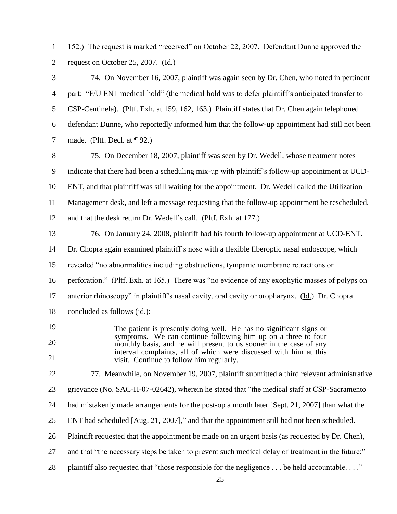| $\mathbf{1}$   | 152.) The request is marked "received" on October 22, 2007. Defendant Dunne approved the                                                                                                                                                             |
|----------------|------------------------------------------------------------------------------------------------------------------------------------------------------------------------------------------------------------------------------------------------------|
| $\overline{2}$ | request on October 25, 2007. (Id.)                                                                                                                                                                                                                   |
| 3              | 74. On November 16, 2007, plaintiff was again seen by Dr. Chen, who noted in pertinent                                                                                                                                                               |
| $\overline{4}$ | part: "F/U ENT medical hold" (the medical hold was to defer plaintiff's anticipated transfer to                                                                                                                                                      |
| 5              | CSP-Centinela). (Pltf. Exh. at 159, 162, 163.) Plaintiff states that Dr. Chen again telephoned                                                                                                                                                       |
| 6              | defendant Dunne, who reportedly informed him that the follow-up appointment had still not been                                                                                                                                                       |
| $\overline{7}$ | made. (Pltf. Decl. at $\P$ 92.)                                                                                                                                                                                                                      |
| 8              | 75. On December 18, 2007, plaintiff was seen by Dr. Wedell, whose treatment notes                                                                                                                                                                    |
| 9              | indicate that there had been a scheduling mix-up with plaintiff's follow-up appointment at UCD-                                                                                                                                                      |
| 10             | ENT, and that plaintiff was still waiting for the appointment. Dr. Wedell called the Utilization                                                                                                                                                     |
| 11             | Management desk, and left a message requesting that the follow-up appointment be rescheduled,                                                                                                                                                        |
| 12             | and that the desk return Dr. Wedell's call. (Pltf. Exh. at 177.)                                                                                                                                                                                     |
| 13             | 76. On January 24, 2008, plaintiff had his fourth follow-up appointment at UCD-ENT.                                                                                                                                                                  |
| 14             | Dr. Chopra again examined plaintiff's nose with a flexible fiberoptic nasal endoscope, which                                                                                                                                                         |
| 15             | revealed "no abnormalities including obstructions, tympanic membrane retractions or                                                                                                                                                                  |
| 16             | perforation." (Pltf. Exh. at 165.) There was "no evidence of any exophytic masses of polyps on                                                                                                                                                       |
| 17             | anterior rhinoscopy" in plaintiff's nasal cavity, oral cavity or oropharynx. (Id.) Dr. Chopra                                                                                                                                                        |
| 18             | concluded as follows (id.):                                                                                                                                                                                                                          |
| 19             | The patient is presently doing well. He has no significant signs or                                                                                                                                                                                  |
| 20<br>21       | symptoms. We can continue following him up on a three to four<br>monthly basis, and he will present to us sooner in the case of any<br>interval complaints, all of which were discussed with him at this<br>visit. Continue to follow him regularly. |
| 22             | 77. Meanwhile, on November 19, 2007, plaintiff submitted a third relevant administrative                                                                                                                                                             |
| 23             | grievance (No. SAC-H-07-02642), wherein he stated that "the medical staff at CSP-Sacramento                                                                                                                                                          |
| 24             | had mistakenly made arrangements for the post-op a month later [Sept. 21, 2007] than what the                                                                                                                                                        |
| 25             | ENT had scheduled [Aug. 21, 2007]," and that the appointment still had not been scheduled.                                                                                                                                                           |
| 26             | Plaintiff requested that the appointment be made on an urgent basis (as requested by Dr. Chen),                                                                                                                                                      |
| 27             | and that "the necessary steps be taken to prevent such medical delay of treatment in the future;"                                                                                                                                                    |
| 28             | plaintiff also requested that "those responsible for the negligence be held accountable."<br>25                                                                                                                                                      |

║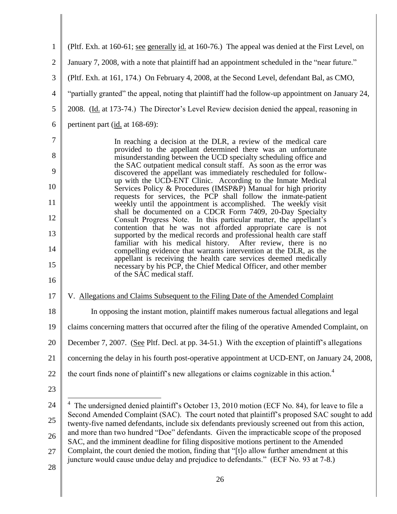| $\mathbf{1}$   | (Pltf. Exh. at 160-61; <u>see generally id.</u> at 160-76.) The appeal was denied at the First Level, on                                                                                                |
|----------------|---------------------------------------------------------------------------------------------------------------------------------------------------------------------------------------------------------|
| $\overline{2}$ | January 7, 2008, with a note that plaintiff had an appointment scheduled in the "near future."                                                                                                          |
| 3              | (Pltf. Exh. at 161, 174.) On February 4, 2008, at the Second Level, defendant Bal, as CMO,                                                                                                              |
| 4              | "partially granted" the appeal, noting that plaintiff had the follow-up appointment on January 24,                                                                                                      |
| 5              | 2008. (Id. at 173-74.) The Director's Level Review decision denied the appeal, reasoning in                                                                                                             |
| 6              | pertinent part (id. at 168-69):                                                                                                                                                                         |
| 7              | In reaching a decision at the DLR, a review of the medical care                                                                                                                                         |
| 8              | provided to the appellant determined there was an unfortunate<br>misunderstanding between the UCD specialty scheduling office and<br>the SAC outpatient medical consult staff. As soon as the error was |
| 9              | discovered the appellant was immediately rescheduled for follow-<br>up with the UCD-ENT Clinic. According to the Inmate Medical                                                                         |
| 10             | Services Policy & Procedures (IMSP&P) Manual for high priority<br>requests for services, the PCP shall follow the inmate-patient                                                                        |
| 11             | weekly until the appointment is accomplished. The weekly visit<br>shall be documented on a CDCR Form 7409, 20-Day Specialty                                                                             |
| 12             | Consult Progress Note. In this particular matter, the appellant's<br>contention that he was not afforded appropriate care is not                                                                        |
| 13             | supported by the medical records and professional health care staff<br>familiar with his medical history. After review, there is no                                                                     |
| 14             | compelling evidence that warrants intervention at the DLR, as the<br>appellant is receiving the health care services deemed medically                                                                   |
| 15<br>16       | necessary by his PCP, the Chief Medical Officer, and other member<br>of the SAC medical staff.                                                                                                          |
| 17             | V. Allegations and Claims Subsequent to the Filing Date of the Amended Complaint                                                                                                                        |
| 18             | In opposing the instant motion, plaintiff makes numerous factual allegations and legal                                                                                                                  |
| 19             | claims concerning matters that occurred after the filing of the operative Amended Complaint, on                                                                                                         |
| 20             | December 7, 2007. (See Pltf. Decl. at pp. 34-51.) With the exception of plaintiff's allegations                                                                                                         |
| 21             | concerning the delay in his fourth post-operative appointment at UCD-ENT, on January 24, 2008,                                                                                                          |
| 22             | the court finds none of plaintiff's new allegations or claims cognizable in this action. <sup>4</sup>                                                                                                   |
| 23             |                                                                                                                                                                                                         |
| 24             | The undersigned denied plaintiff's October 13, 2010 motion (ECF No. 84), for leave to file a                                                                                                            |
| 25             | Second Amended Complaint (SAC). The court noted that plaintiff's proposed SAC sought to add<br>twenty-five named defendants, include six defendants previously screened out from this action,           |
| 26             | and more than two hundred "Doe" defendants. Given the impracticable scope of the proposed<br>SAC, and the imminent deadline for filing dispositive motions pertinent to the Amended                     |
| 27             | Complaint, the court denied the motion, finding that "[t]o allow further amendment at this<br>juncture would cause undue delay and prejudice to defendants." (ECF No. 93 at 7-8.)                       |
| 28             |                                                                                                                                                                                                         |
|                | 26                                                                                                                                                                                                      |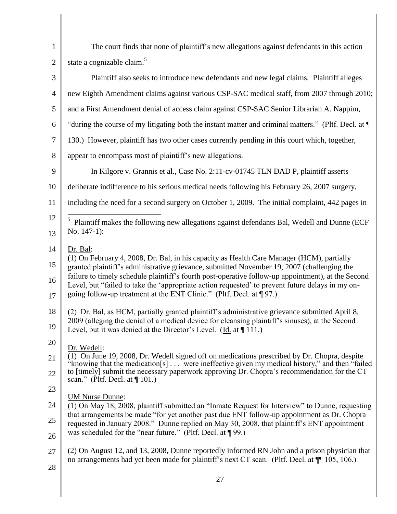| $\mathbf{1}$   | The court finds that none of plaintiff's new allegations against defendants in this action                                                                                                             |  |
|----------------|--------------------------------------------------------------------------------------------------------------------------------------------------------------------------------------------------------|--|
| $\overline{2}$ | state a cognizable claim. <sup>5</sup>                                                                                                                                                                 |  |
| 3              | Plaintiff also seeks to introduce new defendants and new legal claims. Plaintiff alleges                                                                                                               |  |
| 4              | new Eighth Amendment claims against various CSP-SAC medical staff, from 2007 through 2010;                                                                                                             |  |
| 5              | and a First Amendment denial of access claim against CSP-SAC Senior Librarian A. Nappim,                                                                                                               |  |
| 6              | "during the course of my litigating both the instant matter and criminal matters." (Pltf. Decl. at ¶                                                                                                   |  |
| $\tau$         | 130.) However, plaintiff has two other cases currently pending in this court which, together,                                                                                                          |  |
| 8              | appear to encompass most of plaintiff's new allegations.                                                                                                                                               |  |
| 9              | In Kilgore v. Grannis et al., Case No. 2:11-cv-01745 TLN DAD P, plaintiff asserts                                                                                                                      |  |
| 10             | deliberate indifference to his serious medical needs following his February 26, 2007 surgery,                                                                                                          |  |
| 11             | including the need for a second surgery on October 1, 2009. The initial complaint, 442 pages in                                                                                                        |  |
| 12             | $\mathfrak{S}$<br>Plaintiff makes the following new allegations against defendants Bal, Wedell and Dunne (ECF                                                                                          |  |
| 13             | No. $147-1$ :                                                                                                                                                                                          |  |
| 14             | Dr. Bal:                                                                                                                                                                                               |  |
| 15             | (1) On February 4, 2008, Dr. Bal, in his capacity as Health Care Manager (HCM), partially<br>granted plaintiff's administrative grievance, submitted November 19, 2007 (challenging the                |  |
| 16             | failure to timely schedule plaintiff's fourth post-operative follow-up appointment), at the Second<br>Level, but "failed to take the 'appropriate action requested' to prevent future delays in my on- |  |
| 17             | going follow-up treatment at the ENT Clinic." (Pltf. Decl. at $\P$ 97.)                                                                                                                                |  |
| 18             | (2) Dr. Bal, as HCM, partially granted plaintiff's administrative grievance submitted April 8,                                                                                                         |  |
| 19             | 2009 (alleging the denial of a medical device for cleansing plaintiff's sinuses), at the Second<br>Level, but it was denied at the Director's Level. (Id. at $\P$ 111.)                                |  |
| 20             | Dr. Wedell:                                                                                                                                                                                            |  |
| 21             | (1) On June 19, 2008, Dr. Wedell signed off on medications prescribed by Dr. Chopra, despite<br>"knowing that the medication[s] were ineffective given my medical history," and then "failed"          |  |
| 22             | to [timely] submit the necessary paperwork approving Dr. Chopra's recommendation for the CT<br>scan." (Pltf. Decl. at $\P$ 101.)                                                                       |  |
| 23             | <b>UM Nurse Dunne:</b>                                                                                                                                                                                 |  |
| 24             | (1) On May 18, 2008, plaintiff submitted an "Inmate Request for Interview" to Dunne, requesting                                                                                                        |  |
| 25             | that arrangements be made "for yet another past due ENT follow-up appointment as Dr. Chopra<br>requested in January 2008." Dunne replied on May 30, 2008, that plaintiff's ENT appointment             |  |
| 26             | was scheduled for the "near future." (Pltf. Decl. at ¶99.)                                                                                                                                             |  |
| 27             | (2) On August 12, and 13, 2008, Dunne reportedly informed RN John and a prison physician that<br>no arrangements had yet been made for plaintiff's next CT scan. (Pltf. Decl. at $\P$ 105, 106.)       |  |
| 28             |                                                                                                                                                                                                        |  |
|                | 27                                                                                                                                                                                                     |  |

║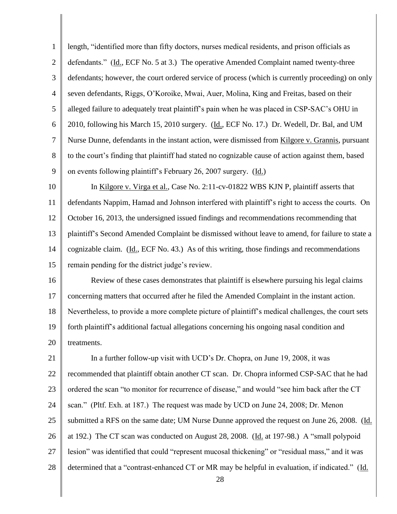1 2 3 4 5 6 7 8 9 10 11 12 13 14 15 16 17 18 19 20 21 22 23 24 25 26 27 28 28 length, "identified more than fifty doctors, nurses medical residents, and prison officials as defendants." (Id., ECF No. 5 at 3.) The operative Amended Complaint named twenty-three defendants; however, the court ordered service of process (which is currently proceeding) on only seven defendants, Riggs, O"Koroike, Mwai, Auer, Molina, King and Freitas, based on their alleged failure to adequately treat plaintiff"s pain when he was placed in CSP-SAC"s OHU in 2010, following his March 15, 2010 surgery. (Id., ECF No. 17.) Dr. Wedell, Dr. Bal, and UM Nurse Dunne, defendants in the instant action, were dismissed from Kilgore v. Grannis, pursuant to the court"s finding that plaintiff had stated no cognizable cause of action against them, based on events following plaintiff"s February 26, 2007 surgery. (Id.) In Kilgore v. Virga et al., Case No. 2:11-cv-01822 WBS KJN P, plaintiff asserts that defendants Nappim, Hamad and Johnson interfered with plaintiff"s right to access the courts. On October 16, 2013, the undersigned issued findings and recommendations recommending that plaintiff"s Second Amended Complaint be dismissed without leave to amend, for failure to state a cognizable claim. (Id., ECF No. 43.) As of this writing, those findings and recommendations remain pending for the district judge"s review. Review of these cases demonstrates that plaintiff is elsewhere pursuing his legal claims concerning matters that occurred after he filed the Amended Complaint in the instant action. Nevertheless, to provide a more complete picture of plaintiff"s medical challenges, the court sets forth plaintiff"s additional factual allegations concerning his ongoing nasal condition and treatments. In a further follow-up visit with UCD"s Dr. Chopra, on June 19, 2008, it was recommended that plaintiff obtain another CT scan. Dr. Chopra informed CSP-SAC that he had ordered the scan "to monitor for recurrence of disease," and would "see him back after the CT scan." (Pltf. Exh. at 187.) The request was made by UCD on June 24, 2008; Dr. Menon submitted a RFS on the same date; UM Nurse Dunne approved the request on June 26, 2008. (Id. at 192.) The CT scan was conducted on August 28, 2008. (Id. at 197-98.) A "small polypoid lesion" was identified that could "represent mucosal thickening" or "residual mass," and it was determined that a "contrast-enhanced CT or MR may be helpful in evaluation, if indicated." (Id.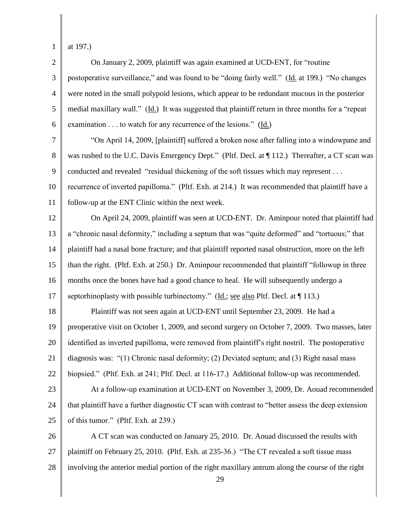1

2 3 4 5 6 7 8 9 10 11 12 13 14 15 16 17 18 19 20 21 22 23 24 25 26 27 28 29 at 197.) On January 2, 2009, plaintiff was again examined at UCD-ENT, for "routine postoperative surveillance," and was found to be "doing fairly well." (Id. at 199.) "No changes were noted in the small polypoid lesions, which appear to be redundant mucous in the posterior medial maxillary wall." (Id.) It was suggested that plaintiff return in three months for a "repeat examination . . . to watch for any recurrence of the lesions." (Id.) "On April 14, 2009, [plaintiff] suffered a broken nose after falling into a windowpane and was rushed to the U.C. Davis Emergency Dept." (Pltf. Decl. at ¶ 112.) Thereafter, a CT scan was conducted and revealed "residual thickening of the soft tissues which may represent . . . recurrence of inverted papilloma." (Pltf. Exh. at 214.) It was recommended that plaintiff have a follow-up at the ENT Clinic within the next week. On April 24, 2009, plaintiff was seen at UCD-ENT. Dr. Aminpour noted that plaintiff had a "chronic nasal deformity," including a septum that was "quite deformed" and "tortuous;" that plaintiff had a nasal bone fracture; and that plaintiff reported nasal obstruction, more on the left than the right. (Pltf. Exh. at 250.) Dr. Aminpour recommended that plaintiff "followup in three months once the bones have had a good chance to heal. He will subsequently undergo a septorhinoplasty with possible turbinectomy." (Id.; see also Pltf. Decl. at  $\P$  113.) Plaintiff was not seen again at UCD-ENT until September 23, 2009. He had a preoperative visit on October 1, 2009, and second surgery on October 7, 2009. Two masses, later identified as inverted papilloma, were removed from plaintiff"s right nostril. The postoperative diagnosis was: "(1) Chronic nasal deformity; (2) Deviated septum; and (3) Right nasal mass biopsied." (Pltf. Exh. at 241; Pltf. Decl. at 116-17.) Additional follow-up was recommended. At a follow-up examination at UCD-ENT on November 3, 2009, Dr. Aouad recommended that plaintiff have a further diagnostic CT scan with contrast to "better assess the deep extension of this tumor." (Pltf. Exh. at 239.) A CT scan was conducted on January 25, 2010. Dr. Aouad discussed the results with plaintiff on February 25, 2010. (Pltf. Exh. at 235-36.) "The CT revealed a soft tissue mass involving the anterior medial portion of the right maxillary antrum along the course of the right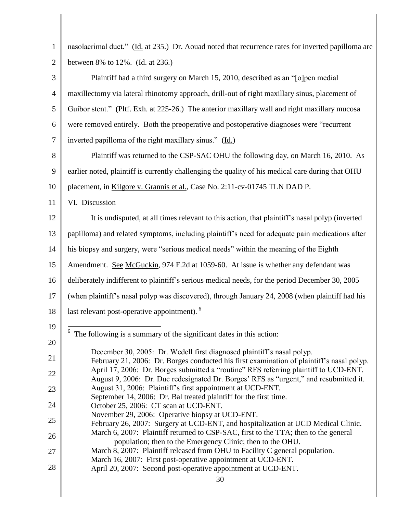| $\mathbf{1}$   | nasolacrimal duct." (Id. at 235.) Dr. Aouad noted that recurrence rates for inverted papilloma are                                                                            |
|----------------|-------------------------------------------------------------------------------------------------------------------------------------------------------------------------------|
| $\overline{2}$ | between 8% to 12%. (Id. at 236.)                                                                                                                                              |
| 3              | Plaintiff had a third surgery on March 15, 2010, described as an "[o]pen medial                                                                                               |
| $\overline{4}$ | maxillectomy via lateral rhinotomy approach, drill-out of right maxillary sinus, placement of                                                                                 |
| 5              | Guibor stent." (Pltf. Exh. at 225-26.) The anterior maxillary wall and right maxillary mucosa                                                                                 |
| 6              | were removed entirely. Both the preoperative and postoperative diagnoses were "recurrent"                                                                                     |
| $\overline{7}$ | inverted papilloma of the right maxillary sinus." (Id.)                                                                                                                       |
| 8              | Plaintiff was returned to the CSP-SAC OHU the following day, on March 16, 2010. As                                                                                            |
| 9              | earlier noted, plaintiff is currently challenging the quality of his medical care during that OHU                                                                             |
| 10             | placement, in Kilgore v. Grannis et al., Case No. 2:11-cv-01745 TLN DAD P.                                                                                                    |
| 11             | VI. Discussion                                                                                                                                                                |
| 12             | It is undisputed, at all times relevant to this action, that plaintiff's nasal polyp (inverted                                                                                |
| 13             | papilloma) and related symptoms, including plaintiff's need for adequate pain medications after                                                                               |
| 14             | his biopsy and surgery, were "serious medical needs" within the meaning of the Eighth                                                                                         |
| 15             | Amendment. See McGuckin, 974 F.2d at 1059-60. At issue is whether any defendant was                                                                                           |
| 16             | deliberately indifferent to plaintiff's serious medical needs, for the period December 30, 2005                                                                               |
| 17             | (when plaintiff's nasal polyp was discovered), through January 24, 2008 (when plaintiff had his                                                                               |
| 18             | last relevant post-operative appointment). <sup>6</sup>                                                                                                                       |
| 19             | The following is a summary of the significant dates in this action:                                                                                                           |
| 20             |                                                                                                                                                                               |
| 21             | December 30, 2005: Dr. Wedell first diagnosed plaintiff's nasal polyp.<br>February 21, 2006: Dr. Borges conducted his first examination of plaintiff's nasal polyp.           |
| 22             | April 17, 2006: Dr. Borges submitted a "routine" RFS referring plaintiff to UCD-ENT.<br>August 9, 2006: Dr. Duc redesignated Dr. Borges' RFS as "urgent," and resubmitted it. |
| 23             | August 31, 2006: Plaintiff's first appointment at UCD-ENT.                                                                                                                    |
| 24             | September 14, 2006: Dr. Bal treated plaintiff for the first time.<br>October 25, 2006: CT scan at UCD-ENT.                                                                    |
| 25             | November 29, 2006: Operative biopsy at UCD-ENT.<br>February 26, 2007: Surgery at UCD-ENT, and hospitalization at UCD Medical Clinic.                                          |
| 26             | March 6, 2007: Plaintiff returned to CSP-SAC, first to the TTA; then to the general<br>population; then to the Emergency Clinic; then to the OHU.                             |
| 27             | March 8, 2007: Plaintiff released from OHU to Facility C general population.                                                                                                  |
| 28             | March 16, 2007: First post-operative appointment at UCD-ENT.<br>April 20, 2007: Second post-operative appointment at UCD-ENT.                                                 |
|                | 30                                                                                                                                                                            |

 $\parallel$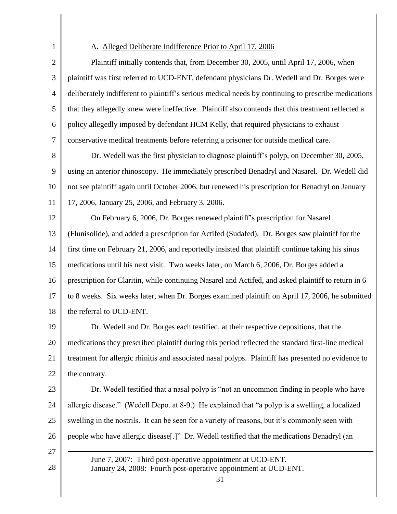1 2 3 4 5 6 7 8 9 10 11 12 13 14 15 16 17 18 19 20 21 22 23 24 25 26 27 A. Alleged Deliberate Indifference Prior to April 17, 2006 Plaintiff initially contends that, from December 30, 2005, until April 17, 2006, when plaintiff was first referred to UCD-ENT, defendant physicians Dr. Wedell and Dr. Borges were deliberately indifferent to plaintiff"s serious medical needs by continuing to prescribe medications that they allegedly knew were ineffective. Plaintiff also contends that this treatment reflected a policy allegedly imposed by defendant HCM Kelly, that required physicians to exhaust conservative medical treatments before referring a prisoner for outside medical care. Dr. Wedell was the first physician to diagnose plaintiff"s polyp, on December 30, 2005, using an anterior rhinoscopy. He immediately prescribed Benadryl and Nasarel. Dr. Wedell did not see plaintiff again until October 2006, but renewed his prescription for Benadryl on January 17, 2006, January 25, 2006, and February 3, 2006. On February 6, 2006, Dr. Borges renewed plaintiff"s prescription for Nasarel (Flunisolide), and added a prescription for Actifed (Sudafed). Dr. Borges saw plaintiff for the first time on February 21, 2006, and reportedly insisted that plaintiff continue taking his sinus medications until his next visit. Two weeks later, on March 6, 2006, Dr. Borges added a prescription for Claritin, while continuing Nasarel and Actifed, and asked plaintiff to return in 6 to 8 weeks. Six weeks later, when Dr. Borges examined plaintiff on April 17, 2006, he submitted the referral to UCD-ENT. Dr. Wedell and Dr. Borges each testified, at their respective depositions, that the medications they prescribed plaintiff during this period reflected the standard first-line medical treatment for allergic rhinitis and associated nasal polyps. Plaintiff has presented no evidence to the contrary. Dr. Wedell testified that a nasal polyp is "not an uncommon finding in people who have allergic disease." (Wedell Depo. at 8-9.) He explained that "a polyp is a swelling, a localized swelling in the nostrils. It can be seen for a variety of reasons, but it's commonly seen with people who have allergic disease[.]" Dr. Wedell testified that the medications Benadryl (an  $\overline{a}$ 

> June 7, 2007: Third post-operative appointment at UCD-ENT. January 24, 2008: Fourth post-operative appointment at UCD-ENT.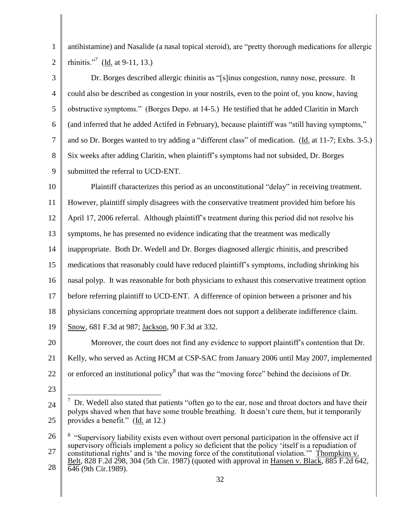1 2 antihistamine) and Nasalide (a nasal topical steroid), are "pretty thorough medications for allergic rhinitis."<sup>7</sup> (<u>Id.</u> at 9-11, 13.)

3 4 5 6 7 8 9 Dr. Borges described allergic rhinitis as "[s]inus congestion, runny nose, pressure. It could also be described as congestion in your nostrils, even to the point of, you know, having obstructive symptoms." (Borges Depo. at 14-5.) He testified that he added Claritin in March (and inferred that he added Actifed in February), because plaintiff was "still having symptoms," and so Dr. Borges wanted to try adding a "different class" of medication. (Id. at 11-7; Exhs. 3-5.) Six weeks after adding Claritin, when plaintiff"s symptoms had not subsided, Dr. Borges submitted the referral to UCD-ENT.

10 11 12 13 14 15 16 17 18 19 20 21 22 23 Plaintiff characterizes this period as an unconstitutional "delay" in receiving treatment. However, plaintiff simply disagrees with the conservative treatment provided him before his April 17, 2006 referral. Although plaintiff"s treatment during this period did not resolve his symptoms, he has presented no evidence indicating that the treatment was medically inappropriate. Both Dr. Wedell and Dr. Borges diagnosed allergic rhinitis, and prescribed medications that reasonably could have reduced plaintiff"s symptoms, including shrinking his nasal polyp. It was reasonable for both physicians to exhaust this conservative treatment option before referring plaintiff to UCD-ENT. A difference of opinion between a prisoner and his physicians concerning appropriate treatment does not support a deliberate indifference claim. Snow, 681 F.3d at 987; Jackson, 90 F.3d at 332. Moreover, the court does not find any evidence to support plaintiff"s contention that Dr. Kelly, who served as Acting HCM at CSP-SAC from January 2006 until May 2007, implemented or enforced an institutional policy<sup>8</sup> that was the "moving force" behind the decisions of Dr.

<sup>24</sup> 25  $\overline{a}$  $\frac{7}{1}$  Dr. Wedell also stated that patients "often go to the ear, nose and throat doctors and have their polyps shaved when that have some trouble breathing. It doesn"t cure them, but it temporarily provides a benefit." (Id. at 12.)

<sup>26</sup> 27 28 <sup>8</sup> "Supervisory liability exists even without overt personal participation in the offensive act if supervisory officials implement a policy so deficient that the policy 'itself is a repudiation of constitutional rights' and is 'the moving force of the constitutional violation." Thompkins v. Belt, 828 F.2d 298, 304 (5th Cir. 1987) (quoted with approval in Hansen v. Black, 885 F.2d 642, 646 (9th Cir.1989).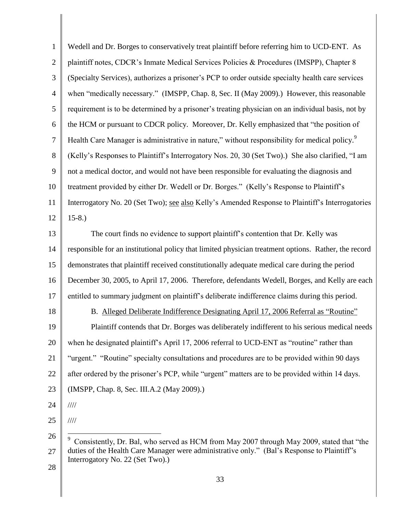| $\mathbf{1}$     | Wedell and Dr. Borges to conservatively treat plaintiff before referring him to UCD-ENT. As               |
|------------------|-----------------------------------------------------------------------------------------------------------|
| $\mathbf{2}$     | plaintiff notes, CDCR's Inmate Medical Services Policies & Procedures (IMSPP), Chapter 8                  |
| $\mathfrak{Z}$   | (Specialty Services), authorizes a prisoner's PCP to order outside specialty health care services         |
| $\overline{4}$   | when "medically necessary." (IMSPP, Chap. 8, Sec. II (May 2009).) However, this reasonable                |
| 5                | requirement is to be determined by a prisoner's treating physician on an individual basis, not by         |
| 6                | the HCM or pursuant to CDCR policy. Moreover, Dr. Kelly emphasized that "the position of                  |
| $\boldsymbol{7}$ | Health Care Manager is administrative in nature," without responsibility for medical policy. <sup>9</sup> |
| 8                | (Kelly's Responses to Plaintiff's Interrogatory Nos. 20, 30 (Set Two).) She also clarified, "I am         |
| 9                | not a medical doctor, and would not have been responsible for evaluating the diagnosis and                |
| 10               | treatment provided by either Dr. Wedell or Dr. Borges." (Kelly's Response to Plaintiff's                  |
| 11               | Interrogatory No. 20 (Set Two); see also Kelly's Amended Response to Plaintiff's Interrogatories          |
| 12               | $15-8.$                                                                                                   |
| 13               | The court finds no evidence to support plaintiff's contention that Dr. Kelly was                          |
| 14               | responsible for an institutional policy that limited physician treatment options. Rather, the record      |
| 15               | demonstrates that plaintiff received constitutionally adequate medical care during the period             |
| 16               | December 30, 2005, to April 17, 2006. Therefore, defendants Wedell, Borges, and Kelly are each            |
| 17               | entitled to summary judgment on plaintiff's deliberate indifference claims during this period.            |
| 18               | B. Alleged Deliberate Indifference Designating April 17, 2006 Referral as "Routine"                       |
| 19               | Plaintiff contends that Dr. Borges was deliberately indifferent to his serious medical needs              |
| 20               | when he designated plaintiff's April 17, 2006 referral to UCD-ENT as "routine" rather than                |
| 21               | "urgent." "Routine" specialty consultations and procedures are to be provided within 90 days              |
| 22               | after ordered by the prisoner's PCP, while "urgent" matters are to be provided within 14 days.            |
| 23               | (IMSPP, Chap. 8, Sec. III.A.2 (May 2009).)                                                                |
| 24               | $\frac{1}{1}$                                                                                             |
| 25               | $\frac{1}{1}$                                                                                             |
| 26               | 9<br>Consistently, Dr. Bal, who served as HCM from May 2007 through May 2009, stated that "the            |
| 27               | duties of the Health Care Manager were administrative only." (Bal's Response to Plaintiff's               |

Interrogatory No. 22 (Set Two).)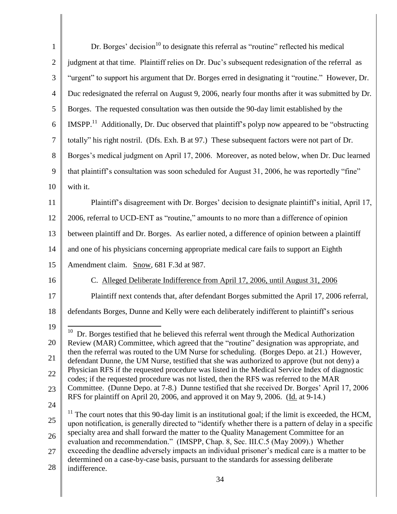| $\mathbf{1}$                                                                                         | Dr. Borges' decision <sup>10</sup> to designate this referral as "routine" reflected his medical                                                                                                                    |
|------------------------------------------------------------------------------------------------------|---------------------------------------------------------------------------------------------------------------------------------------------------------------------------------------------------------------------|
| $\overline{2}$                                                                                       | judgment at that time. Plaintiff relies on Dr. Duc's subsequent redesignation of the referral as                                                                                                                    |
| 3                                                                                                    | "urgent" to support his argument that Dr. Borges erred in designating it "routine." However, Dr.                                                                                                                    |
| $\overline{4}$                                                                                       | Duc redesignated the referral on August 9, 2006, nearly four months after it was submitted by Dr.                                                                                                                   |
| 5                                                                                                    | Borges. The requested consultation was then outside the 90-day limit established by the                                                                                                                             |
| 6                                                                                                    | IMSPP. <sup>11</sup> Additionally, Dr. Duc observed that plaintiff's polyp now appeared to be "obstructing                                                                                                          |
| $\tau$                                                                                               | totally" his right nostril. (Dfs. Exh. B at 97.) These subsequent factors were not part of Dr.                                                                                                                      |
| 8                                                                                                    | Borges's medical judgment on April 17, 2006. Moreover, as noted below, when Dr. Duc learned                                                                                                                         |
| 9                                                                                                    | that plaintiff's consultation was soon scheduled for August 31, 2006, he was reportedly "fine"                                                                                                                      |
| 10                                                                                                   | with it.                                                                                                                                                                                                            |
| 11                                                                                                   | Plaintiff's disagreement with Dr. Borges' decision to designate plaintiff's initial, April 17,                                                                                                                      |
| 12                                                                                                   | 2006, referral to UCD-ENT as "routine," amounts to no more than a difference of opinion                                                                                                                             |
| 13                                                                                                   | between plaintiff and Dr. Borges. As earlier noted, a difference of opinion between a plaintiff                                                                                                                     |
| 14                                                                                                   | and one of his physicians concerning appropriate medical care fails to support an Eighth                                                                                                                            |
| 15                                                                                                   | Amendment claim. Snow, 681 F.3d at 987.                                                                                                                                                                             |
| 16                                                                                                   | C. Alleged Deliberate Indifference from April 17, 2006, until August 31, 2006                                                                                                                                       |
| 17                                                                                                   | Plaintiff next contends that, after defendant Borges submitted the April 17, 2006 referral,                                                                                                                         |
| 18                                                                                                   | defendants Borges, Dunne and Kelly were each deliberately indifferent to plaintiff's serious                                                                                                                        |
| 19                                                                                                   | Dr. Borges testified that he believed this referral went through the Medical Authorization                                                                                                                          |
| 20                                                                                                   | Review (MAR) Committee, which agreed that the "routine" designation was appropriate, and                                                                                                                            |
| 21                                                                                                   | then the referral was routed to the UM Nurse for scheduling. (Borges Depo. at 21.) However,<br>defendant Dunne, the UM Nurse, testified that she was authorized to approve (but not deny) a                         |
| Physician RFS if the requested procedure was listed in the Medical Service Index of diagnostic<br>22 | codes; if the requested procedure was not listed, then the RFS was referred to the MAR                                                                                                                              |
| 23                                                                                                   | Committee. (Dunne Depo. at 7-8.) Dunne testified that she received Dr. Borges' April 17, 2006<br>RFS for plaintiff on April 20, 2006, and approved it on May 9, 2006. (Id. at 9-14.)                                |
| 24                                                                                                   |                                                                                                                                                                                                                     |
| 25                                                                                                   | $11$ The court notes that this 90-day limit is an institutional goal; if the limit is exceeded, the HCM,<br>upon notification, is generally directed to "identify whether there is a pattern of delay in a specific |
| 26                                                                                                   | specialty area and shall forward the matter to the Quality Management Committee for an<br>evaluation and recommendation." (IMSPP, Chap. 8, Sec. III.C.5 (May 2009).) Whether                                        |
| 27                                                                                                   | exceeding the deadline adversely impacts an individual prisoner's medical care is a matter to be<br>determined on a case-by-case basis, pursuant to the standards for assessing deliberate                          |
| 28                                                                                                   | indifference.                                                                                                                                                                                                       |
|                                                                                                      | 34                                                                                                                                                                                                                  |

Ш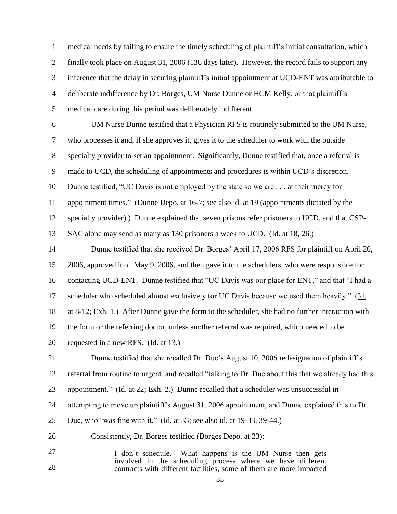1 2 3 4 5 medical needs by failing to ensure the timely scheduling of plaintiff"s initial consultation, which finally took place on August 31, 2006 (136 days later). However, the record fails to support any inference that the delay in securing plaintiff"s initial appointment at UCD-ENT was attributable to deliberate indifference by Dr. Borges, UM Nurse Dunne or HCM Kelly, or that plaintiff"s medical care during this period was deliberately indifferent.

6 7 8 9 10 11 12 13 UM Nurse Dunne testified that a Physician RFS is routinely submitted to the UM Nurse, who processes it and, if she approves it, gives it to the scheduler to work with the outside specialty provider to set an appointment. Significantly, Dunne testified that, once a referral is made to UCD, the scheduling of appointments and procedures is within UCD"s discretion. Dunne testified, "UC Davis is not employed by the state so we are . . . at their mercy for appointment times." (Dunne Depo. at 16-7; see also id. at 19 (appointments dictated by the specialty provider).) Dunne explained that seven prisons refer prisoners to UCD, and that CSP-SAC alone may send as many as 130 prisoners a week to UCD. (Id. at 18, 26.)

14 15 16 17 18 19 20 Dunne testified that she received Dr. Borges' April 17, 2006 RFS for plaintiff on April 20, 2006, approved it on May 9, 2006*,* and then gave it to the schedulers, who were responsible for contacting UCD-ENT. Dunne testified that "UC Davis was our place for ENT," and that "I had a scheduler who scheduled almost exclusively for UC Davis because we used them heavily." (Id. at 8-12; Exh. 1.) After Dunne gave the form to the scheduler, she had no further interaction with the form or the referring doctor, unless another referral was required, which needed to be requested in a new RFS. (Id. at 13.)

21 22 23 24 25 26 Dunne testified that she recalled Dr. Duc's August 10, 2006 redesignation of plaintiff's referral from routine to urgent, and recalled "talking to Dr. Duc about this that we already had this appointment." (Id. at 22; Exh. 2.) Dunne recalled that a scheduler was unsuccessful in attempting to move up plaintiff"s August 31, 2006 appointment, and Dunne explained this to Dr. Duc, who "was fine with it." (Id. at 33; see also id. at 19-33, 39-44.) Consistently, Dr. Borges testified (Borges Depo. at 23):

> I don"t schedule. What happens is the UM Nurse then gets involved in the scheduling process where we have different contracts with different facilities, some of them are more impacted

27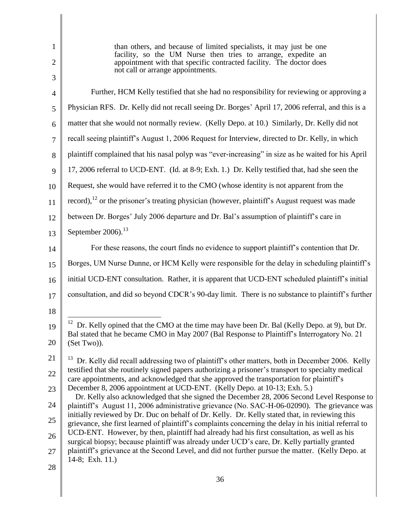| $\mathbf{1}$        | than others, and because of limited specialists, it may just be one<br>facility, so the UM Nurse then tries to arrange, expedite an                                                                      |
|---------------------|----------------------------------------------------------------------------------------------------------------------------------------------------------------------------------------------------------|
| $\overline{2}$<br>3 | appointment with that specific contracted facility. The doctor does<br>not call or arrange appointments.                                                                                                 |
| 4                   | Further, HCM Kelly testified that she had no responsibility for reviewing or approving a                                                                                                                 |
| 5                   | Physician RFS. Dr. Kelly did not recall seeing Dr. Borges' April 17, 2006 referral, and this is a                                                                                                        |
| 6                   | matter that she would not normally review. (Kelly Depo. at 10.) Similarly, Dr. Kelly did not                                                                                                             |
| 7                   | recall seeing plaintiff's August 1, 2006 Request for Interview, directed to Dr. Kelly, in which                                                                                                          |
| 8                   | plaintiff complained that his nasal polyp was "ever-increasing" in size as he waited for his April                                                                                                       |
| 9                   | 17, 2006 referral to UCD-ENT. (Id. at 8-9; Exh. 1.) Dr. Kelly testified that, had she seen the                                                                                                           |
| 10                  | Request, she would have referred it to the CMO (whose identity is not apparent from the                                                                                                                  |
| 11                  | record), $^{12}$ or the prisoner's treating physician (however, plaintiff's August request was made                                                                                                      |
| 12                  | between Dr. Borges' July 2006 departure and Dr. Bal's assumption of plaintiff's care in                                                                                                                  |
| 13                  | September $2006$ . <sup>13</sup>                                                                                                                                                                         |
| 14                  | For these reasons, the court finds no evidence to support plaintiff's contention that Dr.                                                                                                                |
| 15                  | Borges, UM Nurse Dunne, or HCM Kelly were responsible for the delay in scheduling plaintiff's                                                                                                            |
| 16                  | initial UCD-ENT consultation. Rather, it is apparent that UCD-ENT scheduled plaintiff's initial                                                                                                          |
| 17                  | consultation, and did so beyond CDCR's 90-day limit. There is no substance to plaintiff's further                                                                                                        |
| 18                  |                                                                                                                                                                                                          |
| 19                  | <sup>12</sup> Dr. Kelly opined that the CMO at the time may have been Dr. Bal (Kelly Depo. at 9), but Dr.<br>Bal stated that he became CMO in May 2007 (Bal Response to Plaintiff's Interrogatory No. 21 |
| 20                  | (Set Two)).                                                                                                                                                                                              |
| 21                  | Dr. Kelly did recall addressing two of plaintiff's other matters, both in December 2006. Kelly<br>testified that she routinely signed papers authorizing a prisoner's transport to specialty medical     |
| 22                  | care appointments, and acknowledged that she approved the transportation for plaintiff's                                                                                                                 |
| 23                  | December 8, 2006 appointment at UCD-ENT. (Kelly Depo. at 10-13; Exh. 5.)<br>Dr. Kelly also acknowledged that she signed the December 28, 2006 Second Level Response to                                   |
| 24                  | plaintiff's August 11, 2006 administrative grievance (No. SAC-H-06-02090). The grievance was<br>initially reviewed by Dr. Duc on behalf of Dr. Kelly. Dr. Kelly stated that, in reviewing this           |
| 25                  | grievance, she first learned of plaintiff's complaints concerning the delay in his initial referral to<br>UCD-ENT. However, by then, plaintiff had already had his first consultation, as well as his    |
| 26<br>27            | surgical biopsy; because plaintiff was already under UCD's care, Dr. Kelly partially granted<br>plaintiff's grievance at the Second Level, and did not further pursue the matter. (Kelly Depo. at        |
| 28                  | 14-8; Exh. 11.)                                                                                                                                                                                          |
|                     | 36                                                                                                                                                                                                       |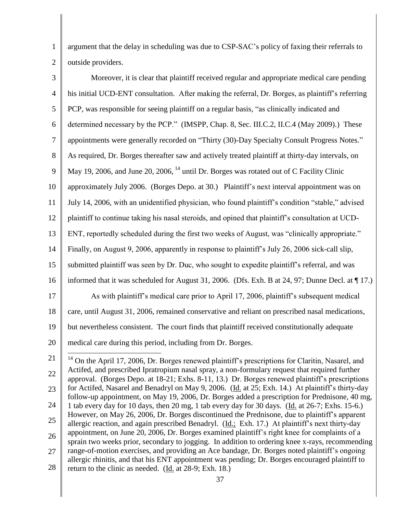1 2 argument that the delay in scheduling was due to CSP-SAC"s policy of faxing their referrals to outside providers.

| 3              | Moreover, it is clear that plaintiff received regular and appropriate medical care pending           |
|----------------|------------------------------------------------------------------------------------------------------|
| $\overline{4}$ | his initial UCD-ENT consultation. After making the referral, Dr. Borges, as plaintiff's referring    |
| 5              | PCP, was responsible for seeing plaintiff on a regular basis, "as clinically indicated and           |
| 6              | determined necessary by the PCP." (IMSPP, Chap. 8, Sec. III.C.2, II.C.4 (May 2009).) These           |
| 7              | appointments were generally recorded on "Thirty (30)-Day Specialty Consult Progress Notes."          |
| 8              | As required, Dr. Borges thereafter saw and actively treated plaintiff at thirty-day intervals, on    |
| 9              | May 19, 2006, and June 20, 2006, <sup>14</sup> until Dr. Borges was rotated out of C Facility Clinic |
| 10             | approximately July 2006. (Borges Depo. at 30.) Plaintiff's next interval appointment was on          |
| 11             | July 14, 2006, with an unidentified physician, who found plaintiff's condition "stable," advised     |
| 12             | plaintiff to continue taking his nasal steroids, and opined that plaintiff's consultation at UCD-    |
| 13             | ENT, reportedly scheduled during the first two weeks of August, was "clinically appropriate."        |
| 14             | Finally, on August 9, 2006, apparently in response to plaintiff's July 26, 2006 sick-call slip,      |
| 15             | submitted plaintiff was seen by Dr. Duc, who sought to expedite plaintiff's referral, and was        |
| 16             | informed that it was scheduled for August 31, 2006. (Dfs. Exh. B at 24, 97; Dunne Decl. at ¶ 17.)    |
| 17             | As with plaintiff's medical care prior to April 17, 2006, plaintiff's subsequent medical             |
| 18             | care, until August 31, 2006, remained conservative and reliant on prescribed nasal medications,      |
| 19             | but nevertheless consistent. The court finds that plaintiff received constitutionally adequate       |
| 20             | medical care during this period, including from Dr. Borges.                                          |
| 21             |                                                                                                      |

<sup>21</sup> 22 23 24 25 26 27 28 <sup>14</sup> On the April 17, 2006, Dr. Borges renewed plaintiff"s prescriptions for Claritin, Nasarel, and Actifed, and prescribed Ipratropium nasal spray, a non-formulary request that required further approval. (Borges Depo. at 18-21; Exhs. 8-11, 13.) Dr. Borges renewed plaintiff"s prescriptions for Actifed, Nasarel and Benadryl on May 9, 2006. (Id. at 25; Exh. 14.) At plaintiff's thirty-day follow-up appointment, on May 19, 2006, Dr. Borges added a prescription for Prednisone, 40 mg, 1 tab every day for 10 days, then 20 mg, 1 tab every day for 30 days. (Id. at 26-7; Exhs. 15-6.) However, on May 26, 2006, Dr. Borges discontinued the Prednisone, due to plaintiff"s apparent allergic reaction, and again prescribed Benadryl. (Id.; Exh. 17.) At plaintiff"s next thirty-day appointment, on June 20, 2006, Dr. Borges examined plaintiff"s right knee for complaints of a sprain two weeks prior, secondary to jogging. In addition to ordering knee x-rays, recommending range-of-motion exercises, and providing an Ace bandage, Dr. Borges noted plaintiff"s ongoing allergic rhinitis, and that his ENT appointment was pending; Dr. Borges encouraged plaintiff to return to the clinic as needed. (Id. at 28-9; Exh. 18.)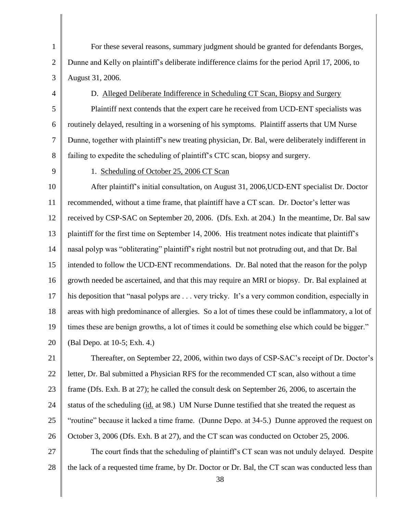1 2 3 For these several reasons, summary judgment should be granted for defendants Borges, Dunne and Kelly on plaintiff"s deliberate indifference claims for the period April 17, 2006, to August 31, 2006.

4

## D. Alleged Deliberate Indifference in Scheduling CT Scan, Biopsy and Surgery

5 6 7 8 Plaintiff next contends that the expert care he received from UCD-ENT specialists was routinely delayed, resulting in a worsening of his symptoms. Plaintiff asserts that UM Nurse Dunne, together with plaintiff"s new treating physician, Dr. Bal, were deliberately indifferent in failing to expedite the scheduling of plaintiff"s CTC scan, biopsy and surgery.

9

# 1. Scheduling of October 25, 2006 CT Scan

10 11 12 13 14 15 16 17 18 19 20 After plaintiff"s initial consultation, on August 31, 2006,UCD-ENT specialist Dr. Doctor recommended, without a time frame, that plaintiff have a CT scan. Dr. Doctor"s letter was received by CSP-SAC on September 20, 2006. (Dfs. Exh. at 204.) In the meantime, Dr. Bal saw plaintiff for the first time on September 14, 2006. His treatment notes indicate that plaintiff"s nasal polyp was "obliterating" plaintiff"s right nostril but not protruding out, and that Dr. Bal intended to follow the UCD-ENT recommendations. Dr. Bal noted that the reason for the polyp growth needed be ascertained, and that this may require an MRI or biopsy. Dr. Bal explained at his deposition that "nasal polyps are . . . very tricky. It's a very common condition, especially in areas with high predominance of allergies. So a lot of times these could be inflammatory, a lot of times these are benign growths, a lot of times it could be something else which could be bigger." (Bal Depo. at 10-5; Exh. 4.)

21 22 23 24 25 26 Thereafter, on September 22, 2006, within two days of CSP-SAC's receipt of Dr. Doctor's letter, Dr. Bal submitted a Physician RFS for the recommended CT scan, also without a time frame (Dfs. Exh. B at 27); he called the consult desk on September 26, 2006, to ascertain the status of the scheduling (id*.* at 98.) UM Nurse Dunne testified that she treated the request as "routine" because it lacked a time frame. (Dunne Depo. at 34-5.) Dunne approved the request on October 3, 2006 (Dfs. Exh. B at 27), and the CT scan was conducted on October 25, 2006.

27 28 The court finds that the scheduling of plaintiff"s CT scan was not unduly delayed. Despite the lack of a requested time frame, by Dr. Doctor or Dr. Bal, the CT scan was conducted less than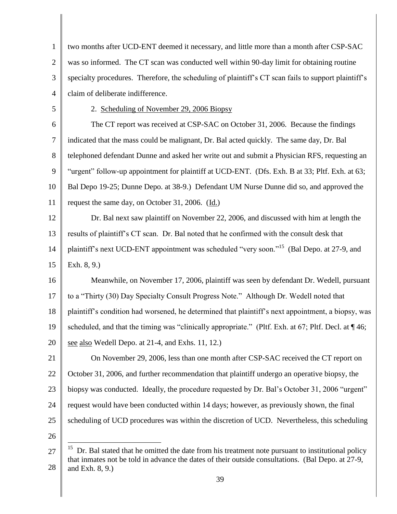| $\mathbf{1}$   | two months after UCD-ENT deemed it necessary, and little more than a month after CSP-SAC                                                                                                                    |
|----------------|-------------------------------------------------------------------------------------------------------------------------------------------------------------------------------------------------------------|
| $\overline{2}$ | was so informed. The CT scan was conducted well within 90-day limit for obtaining routine                                                                                                                   |
| 3              | specialty procedures. Therefore, the scheduling of plaintiff's CT scan fails to support plaintiff's                                                                                                         |
| $\overline{4}$ | claim of deliberate indifference.                                                                                                                                                                           |
| 5              | 2. Scheduling of November 29, 2006 Biopsy                                                                                                                                                                   |
| 6              | The CT report was received at CSP-SAC on October 31, 2006. Because the findings                                                                                                                             |
| $\tau$         | indicated that the mass could be malignant, Dr. Bal acted quickly. The same day, Dr. Bal                                                                                                                    |
| 8              | telephoned defendant Dunne and asked her write out and submit a Physician RFS, requesting an                                                                                                                |
| 9              | "urgent" follow-up appointment for plaintiff at UCD-ENT. (Dfs. Exh. B at 33; Pltf. Exh. at 63;                                                                                                              |
| 10             | Bal Depo 19-25; Dunne Depo. at 38-9.) Defendant UM Nurse Dunne did so, and approved the                                                                                                                     |
| 11             | request the same day, on October 31, 2006. (Id.)                                                                                                                                                            |
| 12             | Dr. Bal next saw plaintiff on November 22, 2006, and discussed with him at length the                                                                                                                       |
| 13             | results of plaintiff's CT scan. Dr. Bal noted that he confirmed with the consult desk that                                                                                                                  |
| 14             | plaintiff's next UCD-ENT appointment was scheduled "very soon." <sup>15</sup> (Bal Depo. at 27-9, and                                                                                                       |
| 15             | Exh. $8, 9.$ )                                                                                                                                                                                              |
| 16             | Meanwhile, on November 17, 2006, plaintiff was seen by defendant Dr. Wedell, pursuant                                                                                                                       |
| 17             | to a "Thirty (30) Day Specialty Consult Progress Note." Although Dr. Wedell noted that                                                                                                                      |
| 18             | plaintiff's condition had worsened, he determined that plaintiff's next appointment, a biopsy, was                                                                                                          |
| 19             | scheduled, and that the timing was "clinically appropriate." (Pltf. Exh. at 67; Pltf. Decl. at ¶ 46;                                                                                                        |
| 20             | see also Wedell Depo. at 21-4, and Exhs. 11, 12.)                                                                                                                                                           |
| 21             | On November 29, 2006, less than one month after CSP-SAC received the CT report on                                                                                                                           |
| 22             | October 31, 2006, and further recommendation that plaintiff undergo an operative biopsy, the                                                                                                                |
| 23             | biopsy was conducted. Ideally, the procedure requested by Dr. Bal's October 31, 2006 "urgent"                                                                                                               |
| 24             | request would have been conducted within 14 days; however, as previously shown, the final                                                                                                                   |
| 25             | scheduling of UCD procedures was within the discretion of UCD. Nevertheless, this scheduling                                                                                                                |
| 26             |                                                                                                                                                                                                             |
| 27             | 15<br>Dr. Bal stated that he omitted the date from his treatment note pursuant to institutional policy<br>that inmates not be told in advance the dates of their outside consultations. (Bal Depo. at 27-9, |
|                |                                                                                                                                                                                                             |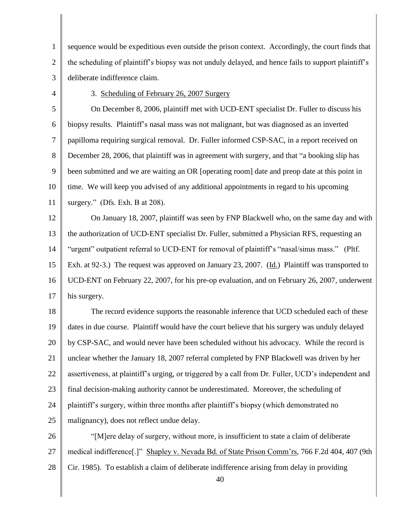1 2 3 sequence would be expeditious even outside the prison context. Accordingly, the court finds that the scheduling of plaintiff"s biopsy was not unduly delayed, and hence fails to support plaintiff"s deliberate indifference claim.

4

## 3. Scheduling of February 26, 2007 Surgery

5 6 7 8 9 10 11 On December 8, 2006, plaintiff met with UCD-ENT specialist Dr. Fuller to discuss his biopsy results. Plaintiff"s nasal mass was not malignant, but was diagnosed as an inverted papilloma requiring surgical removal. Dr. Fuller informed CSP-SAC, in a report received on December 28, 2006, that plaintiff was in agreement with surgery, and that "a booking slip has been submitted and we are waiting an OR [operating room] date and preop date at this point in time. We will keep you advised of any additional appointments in regard to his upcoming surgery." (Dfs. Exh. B at 208).

12 13 14 15 16 17 On January 18, 2007, plaintiff was seen by FNP Blackwell who, on the same day and with the authorization of UCD-ENT specialist Dr. Fuller, submitted a Physician RFS, requesting an "urgent" outpatient referral to UCD-ENT for removal of plaintiff's "nasal/sinus mass." (Pltf.) Exh. at 92-3.) The request was approved on January 23, 2007. (Id.) Plaintiff was transported to UCD-ENT on February 22, 2007, for his pre-op evaluation, and on February 26, 2007, underwent his surgery.

18 19 20 21 22 23 24 25 The record evidence supports the reasonable inference that UCD scheduled each of these dates in due course. Plaintiff would have the court believe that his surgery was unduly delayed by CSP-SAC, and would never have been scheduled without his advocacy. While the record is unclear whether the January 18, 2007 referral completed by FNP Blackwell was driven by her assertiveness, at plaintiff"s urging, or triggered by a call from Dr. Fuller, UCD"s independent and final decision-making authority cannot be underestimated. Moreover, the scheduling of plaintiff"s surgery, within three months after plaintiff"s biopsy (which demonstrated no malignancy), does not reflect undue delay.

26 27 28 "[M]ere delay of surgery, without more, is insufficient to state a claim of deliberate medical indifference[.]" Shapley v. Nevada Bd. of State Prison Comm"rs, 766 F.2d 404, 407 (9th Cir. 1985). To establish a claim of deliberate indifference arising from delay in providing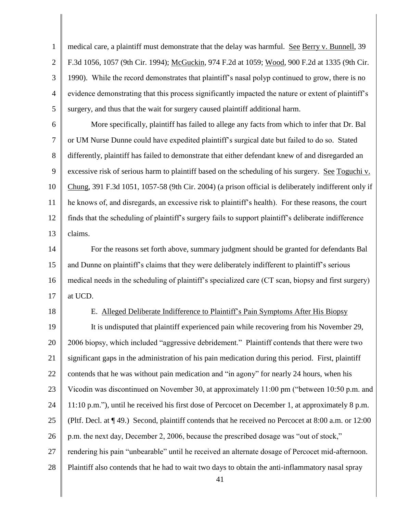1 2 3 4 5 medical care, a plaintiff must demonstrate that the delay was harmful. See Berry v. Bunnell, 39 F.3d 1056, 1057 (9th Cir. 1994); McGuckin, 974 F.2d at 1059; Wood, 900 F.2d at 1335 (9th Cir. 1990). While the record demonstrates that plaintiff"s nasal polyp continued to grow, there is no evidence demonstrating that this process significantly impacted the nature or extent of plaintiff"s surgery, and thus that the wait for surgery caused plaintiff additional harm.

6 7 8 9 10 11 12 13 More specifically, plaintiff has failed to allege any facts from which to infer that Dr. Bal or UM Nurse Dunne could have expedited plaintiff"s surgical date but failed to do so. Stated differently, plaintiff has failed to demonstrate that either defendant knew of and disregarded an excessive risk of serious harm to plaintiff based on the scheduling of his surgery. See Toguchi v. Chung, 391 F.3d 1051, 1057-58 (9th Cir. 2004) (a prison official is deliberately indifferent only if he knows of, and disregards, an excessive risk to plaintiff"s health). For these reasons, the court finds that the scheduling of plaintiff"s surgery fails to support plaintiff"s deliberate indifference claims.

14 15 16 17 For the reasons set forth above, summary judgment should be granted for defendants Bal and Dunne on plaintiff"s claims that they were deliberately indifferent to plaintiff"s serious medical needs in the scheduling of plaintiff"s specialized care (CT scan, biopsy and first surgery) at UCD.

18

#### E. Alleged Deliberate Indifference to Plaintiff"s Pain Symptoms After His Biopsy

19 20 21 22 23 24 25 26 27 28 It is undisputed that plaintiff experienced pain while recovering from his November 29, 2006 biopsy, which included "aggressive debridement." Plaintiff contends that there were two significant gaps in the administration of his pain medication during this period. First, plaintiff contends that he was without pain medication and "in agony" for nearly 24 hours, when his Vicodin was discontinued on November 30, at approximately 11:00 pm ("between 10:50 p.m. and 11:10 p.m."), until he received his first dose of Percocet on December 1, at approximately 8 p.m. (Pltf. Decl. at ¶ 49.) Second, plaintiff contends that he received no Percocet at 8:00 a.m. or 12:00 p.m. the next day, December 2, 2006, because the prescribed dosage was "out of stock," rendering his pain "unbearable" until he received an alternate dosage of Percocet mid-afternoon. Plaintiff also contends that he had to wait two days to obtain the anti-inflammatory nasal spray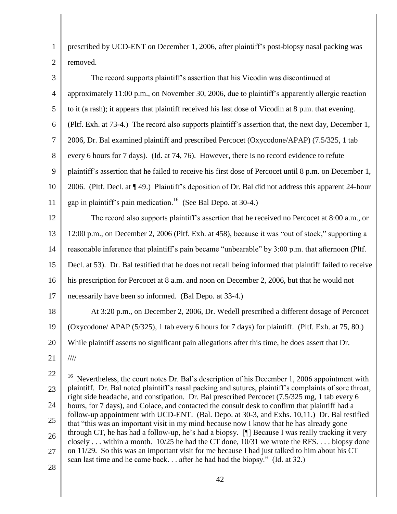prescribed by UCD-ENT on December 1, 2006, after plaintiff"s post-biopsy nasal packing was removed.

| 3                | The record supports plaintiff's assertion that his Vicodin was discontinued at                                                                                                                          |
|------------------|---------------------------------------------------------------------------------------------------------------------------------------------------------------------------------------------------------|
| $\overline{4}$   | approximately 11:00 p.m., on November 30, 2006, due to plaintiff's apparently allergic reaction                                                                                                         |
| 5                | to it (a rash); it appears that plaintiff received his last dose of Vicodin at 8 p.m. that evening.                                                                                                     |
| 6                | (Pltf. Exh. at 73-4.) The record also supports plaintiff's assertion that, the next day, December 1,                                                                                                    |
| 7                | 2006, Dr. Bal examined plaintiff and prescribed Percocet (Oxycodone/APAP) (7.5/325, 1 tab                                                                                                               |
| 8                | every 6 hours for 7 days). (Id. at 74, 76). However, there is no record evidence to refute                                                                                                              |
| 9                | plaintiff's assertion that he failed to receive his first dose of Percocet until 8 p.m. on December 1,                                                                                                  |
| 10               | 2006. (Pltf. Decl. at ¶49.) Plaintiff's deposition of Dr. Bal did not address this apparent 24-hour                                                                                                     |
| 11               | gap in plaintiff's pain medication. <sup>16</sup> (See Bal Depo. at 30-4.)                                                                                                                              |
| 12               | The record also supports plaintiff's assertion that he received no Percocet at 8:00 a.m., or                                                                                                            |
| 13               | 12:00 p.m., on December 2, 2006 (Pltf. Exh. at 458), because it was "out of stock," supporting a                                                                                                        |
| 14               | reasonable inference that plaintiff's pain became "unbearable" by 3:00 p.m. that afternoon (Pltf.                                                                                                       |
| 15               | Decl. at 53). Dr. Bal testified that he does not recall being informed that plaintiff failed to receive                                                                                                 |
| 16               | his prescription for Percocet at 8 a.m. and noon on December 2, 2006, but that he would not                                                                                                             |
| 17               | necessarily have been so informed. (Bal Depo. at 33-4.)                                                                                                                                                 |
| 18               | At 3:20 p.m., on December 2, 2006, Dr. Wedell prescribed a different dosage of Percocet                                                                                                                 |
| 19               | (Oxycodone/ APAP (5/325), 1 tab every 6 hours for 7 days) for plaintiff. (Pltf. Exh. at 75, 80.)                                                                                                        |
| 20               | While plaintiff asserts no significant pain allegations after this time, he does assert that Dr.                                                                                                        |
| 21               | 1111                                                                                                                                                                                                    |
| 22               | <sup>16</sup> Nevertheless, the court notes Dr. Bal's description of his December 1, 2006 appointment with                                                                                              |
| 23               | plaintiff. Dr. Bal noted plaintiff's nasal packing and sutures, plaintiff's complaints of sore throat,<br>right side headache, and constipation. Dr. Bal prescribed Percocet (7.5/325 mg, 1 tab every 6 |
| $\sim$ $\lambda$ |                                                                                                                                                                                                         |

- 24 25 26 27 hours, for 7 days), and Colace, and contacted the consult desk to confirm that plaintiff had a follow-up appointment with UCD-ENT. (Bal. Depo. at 30-3, and Exhs. 10,11.) Dr. Bal testified that "this was an important visit in my mind because now I know that he has already gone through CT, he has had a follow-up, he"s had a biopsy. [¶] Because I was really tracking it very closely . . . within a month. 10/25 he had the CT done, 10/31 we wrote the RFS. . . . biopsy done on 11/29. So this was an important visit for me because I had just talked to him about his CT scan last time and he came back. . . after he had had the biopsy." (Id. at 32.)
- 28

1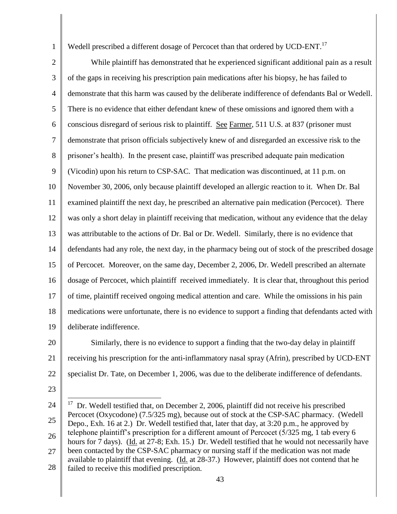1

Wedell prescribed a different dosage of Percocet than that ordered by UCD-ENT.<sup>17</sup>

2 3 4 5 6 7 8 9 10 11 12 13 14 15 16 17 18 19 While plaintiff has demonstrated that he experienced significant additional pain as a result of the gaps in receiving his prescription pain medications after his biopsy, he has failed to demonstrate that this harm was caused by the deliberate indifference of defendants Bal or Wedell. There is no evidence that either defendant knew of these omissions and ignored them with a conscious disregard of serious risk to plaintiff. See Farmer, 511 U.S. at 837 (prisoner must demonstrate that prison officials subjectively knew of and disregarded an excessive risk to the prisoner"s health). In the present case, plaintiff was prescribed adequate pain medication (Vicodin) upon his return to CSP-SAC. That medication was discontinued, at 11 p.m. on November 30, 2006, only because plaintiff developed an allergic reaction to it. When Dr. Bal examined plaintiff the next day, he prescribed an alternative pain medication (Percocet). There was only a short delay in plaintiff receiving that medication, without any evidence that the delay was attributable to the actions of Dr. Bal or Dr. Wedell. Similarly, there is no evidence that defendants had any role, the next day, in the pharmacy being out of stock of the prescribed dosage of Percocet. Moreover, on the same day, December 2, 2006, Dr. Wedell prescribed an alternate dosage of Percocet, which plaintiff received immediately. It is clear that, throughout this period of time, plaintiff received ongoing medical attention and care. While the omissions in his pain medications were unfortunate, there is no evidence to support a finding that defendants acted with deliberate indifference.

- 20 21 22 Similarly, there is no evidence to support a finding that the two-day delay in plaintiff receiving his prescription for the anti-inflammatory nasal spray (Afrin), prescribed by UCD-ENT specialist Dr. Tate, on December 1, 2006, was due to the deliberate indifference of defendants.
- 23

<sup>24</sup> 25 26 27 28 17 Dr. Wedell testified that, on December 2, 2006, plaintiff did not receive his prescribed Percocet (Oxycodone) (7.5/325 mg), because out of stock at the CSP-SAC pharmacy. (Wedell Depo., Exh. 16 at 2.) Dr. Wedell testified that, later that day, at 3:20 p.m., he approved by telephone plaintiff"s prescription for a different amount of Percocet (5/325 mg, 1 tab every 6 hours for 7 days). (Id. at 27-8; Exh. 15.) Dr. Wedell testified that he would not necessarily have been contacted by the CSP-SAC pharmacy or nursing staff if the medication was not made available to plaintiff that evening. (Id. at 28-37.) However, plaintiff does not contend that he failed to receive this modified prescription.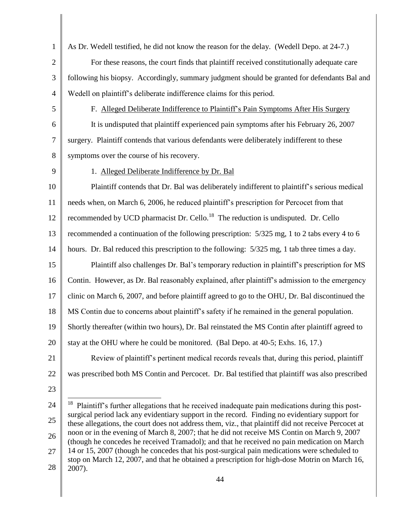- 1 2 3 4 5 6 7 8 9 10 11 12 13 14 15 16 17 18 19 20 21 22 23 24 25 26 As Dr. Wedell testified, he did not know the reason for the delay. (Wedell Depo. at 24-7.) For these reasons, the court finds that plaintiff received constitutionally adequate care following his biopsy. Accordingly, summary judgment should be granted for defendants Bal and Wedell on plaintiff"s deliberate indifference claims for this period. F. Alleged Deliberate Indifference to Plaintiff"s Pain Symptoms After His Surgery It is undisputed that plaintiff experienced pain symptoms after his February 26, 2007 surgery. Plaintiff contends that various defendants were deliberately indifferent to these symptoms over the course of his recovery. 1. Alleged Deliberate Indifference by Dr. Bal Plaintiff contends that Dr. Bal was deliberately indifferent to plaintiff"s serious medical needs when, on March 6, 2006, he reduced plaintiff"s prescription for Percocet from that recommended by UCD pharmacist Dr. Cello.<sup>18</sup> The reduction is undisputed. Dr. Cello recommended a continuation of the following prescription: 5/325 mg, 1 to 2 tabs every 4 to 6 hours. Dr. Bal reduced this prescription to the following: 5/325 mg, 1 tab three times a day. Plaintiff also challenges Dr. Bal"s temporary reduction in plaintiff"s prescription for MS Contin. However, as Dr. Bal reasonably explained, after plaintiff"s admission to the emergency clinic on March 6, 2007, and before plaintiff agreed to go to the OHU, Dr. Bal discontinued the MS Contin due to concerns about plaintiff"s safety if he remained in the general population. Shortly thereafter (within two hours), Dr. Bal reinstated the MS Contin after plaintiff agreed to stay at the OHU where he could be monitored. (Bal Depo. at 40-5; Exhs. 16, 17.) Review of plaintiff"s pertinent medical records reveals that, during this period, plaintiff was prescribed both MS Contin and Percocet. Dr. Bal testified that plaintiff was also prescribed 18 Plaintiff"s further allegations that he received inadequate pain medications during this postsurgical period lack any evidentiary support in the record. Finding no evidentiary support for these allegations, the court does not address them, viz., that plaintiff did not receive Percocet at noon or in the evening of March 8, 2007; that he did not receive MS Contin on March 9, 2007 (though he concedes he received Tramadol); and that he received no pain medication on March
- 27 28 14 or 15, 2007 (though he concedes that his post-surgical pain medications were scheduled to stop on March 12, 2007, and that he obtained a prescription for high-dose Motrin on March 16, 2007).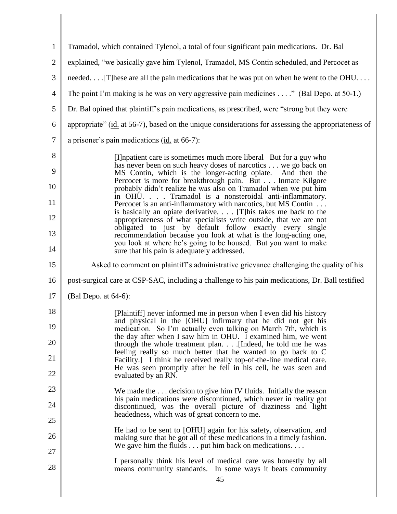| $\mathbf{1}$   | Tramadol, which contained Tylenol, a total of four significant pain medications. Dr. Bal                                                   |
|----------------|--------------------------------------------------------------------------------------------------------------------------------------------|
| $\overline{2}$ | explained, "we basically gave him Tylenol, Tramadol, MS Contin scheduled, and Percocet as                                                  |
| 3              | needed [T] hese are all the pain medications that he was put on when he went to the OHU                                                    |
| $\overline{4}$ | The point I'm making is he was on very aggressive pain medicines $\dots$ ." (Bal Depo. at 50-1.)                                           |
| 5              | Dr. Bal opined that plaintiff's pain medications, as prescribed, were "strong but they were                                                |
| 6              | appropriate" (id. at 56-7), based on the unique considerations for assessing the appropriateness of                                        |
| $\tau$         | a prisoner's pain medications (id. at 66-7):                                                                                               |
| 8              | [I] inpatient care is sometimes much more liberal But for a guy who                                                                        |
| 9              | has never been on such heavy doses of narcotics we go back on<br>MS Contin, which is the longer-acting opiate. And then the                |
| 10             | Percocet is more for breakthrough pain. But Inmate Kilgore<br>probably didn't realize he was also on Tramadol when we put him              |
| 11             | in OHU. Tramadol is a nonsteroidal anti-inflammatory.<br>Percocet is an anti-inflammatory with narcotics, but MS Contin                    |
| 12             | is basically an opiate derivative [T] his takes me back to the<br>appropriateness of what specialists write outside, that we are not       |
| 13             | obligated to just by default follow exactly every single<br>recommendation because you look at what is the long-acting one,                |
| 14             | you look at where he's going to be housed. But you want to make<br>sure that his pain is adequately addressed.                             |
| 15             | Asked to comment on plaintiff's administrative grievance challenging the quality of his                                                    |
| 16             | post-surgical care at CSP-SAC, including a challenge to his pain medications, Dr. Ball testified                                           |
| 17             | (Bal Depo. at $64-6$ ):                                                                                                                    |
| 18             | [Plaintiff] never informed me in person when I even did his history                                                                        |
| 19             | and physical in the [OHU] infirmary that he did not get his<br>medication. So I'm actually even talking on March 7th, which is             |
| 20             | the day after when I saw him in OHU. I examined him, we went<br>through the whole treatment plan. [Indeed, he told me he was               |
| 21             | feeling really so much better that he wanted to go back to C<br>Facility.] I think he received really top-of-the-line medical care.        |
| 22             | He was seen promptly after he fell in his cell, he was seen and<br>evaluated by an RN.                                                     |
| 23             | We made the $\dots$ decision to give him IV fluids. Initially the reason                                                                   |
| 24             | his pain medications were discontinued, which never in reality got<br>discontinued, was the overall picture of dizziness and light         |
| 25             | headedness, which was of great concern to me.                                                                                              |
| 26             | He had to be sent to [OHU] again for his safety, observation, and<br>making sure that he got all of these medications in a timely fashion. |
| 27             | We gave him the fluids $\dots$ put him back on medications. $\dots$                                                                        |
| 28             | I personally think his level of medical care was honestly by all<br>means community standards. In some ways it beats community             |
|                | 45                                                                                                                                         |

║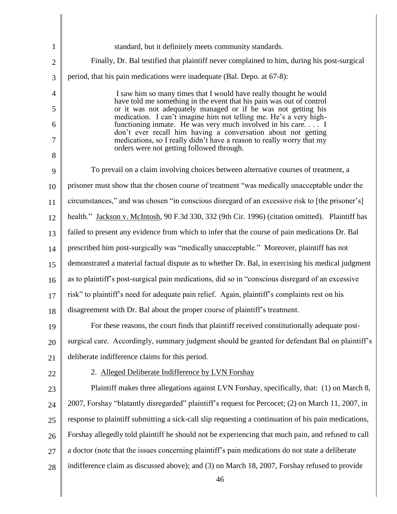| $\mathbf{1}$   | standard, but it definitely meets community standards.                                                                                                                              |
|----------------|-------------------------------------------------------------------------------------------------------------------------------------------------------------------------------------|
| $\overline{2}$ | Finally, Dr. Bal testified that plaintiff never complained to him, during his post-surgical                                                                                         |
| 3              | period, that his pain medications were inadequate (Bal. Depo. at 67-8):                                                                                                             |
| $\overline{4}$ | I saw him so many times that I would have really thought he would                                                                                                                   |
| 5              | have told me something in the event that his pain was out of control<br>or it was not adequately managed or if he was not getting his                                               |
| 6              | medication. I can't imagine him not telling me. He's a very high-<br>functioning inmate. He was very much involved in his care I                                                    |
| $\tau$         | don't ever recall him having a conversation about not getting<br>medications, so I really didn't have a reason to really worry that my<br>orders were not getting followed through. |
| 8              |                                                                                                                                                                                     |
| 9              | To prevail on a claim involving choices between alternative courses of treatment, a                                                                                                 |
| 10             | prisoner must show that the chosen course of treatment "was medically unacceptable under the                                                                                        |
| 11             | circumstances," and was chosen "in conscious disregard of an excessive risk to [the prisoner's]                                                                                     |
| 12             | health." Jackson v. McIntosh, 90 F.3d 330, 332 (9th Cir. 1996) (citation omitted). Plaintiff has                                                                                    |
| 13             | failed to present any evidence from which to infer that the course of pain medications Dr. Bal                                                                                      |
| 14             | prescribed him post-surgically was "medically unacceptable." Moreover, plaintiff has not                                                                                            |
| 15             | demonstrated a material factual dispute as to whether Dr. Bal, in exercising his medical judgment                                                                                   |
| 16             | as to plaintiff's post-surgical pain medications, did so in "conscious disregard of an excessive                                                                                    |
| 17             | risk" to plaintiff's need for adequate pain relief. Again, plaintiff's complaints rest on his                                                                                       |
| 18             | disagreement with Dr. Bal about the proper course of plaintiff's treatment.                                                                                                         |
| 19             | For these reasons, the court finds that plaintiff received constitutionally adequate post-                                                                                          |
| 20             | surgical care. Accordingly, summary judgment should be granted for defendant Bal on plaintiff's                                                                                     |
| 21             | deliberate indifference claims for this period.                                                                                                                                     |
| 22             | 2. Alleged Deliberate Indifference by LVN Forshay                                                                                                                                   |
| 23             | Plaintiff makes three allegations against LVN Forshay, specifically, that: (1) on March 8,                                                                                          |
| 24             | 2007, Forshay "blatantly disregarded" plaintiff's request for Percocet; (2) on March 11, 2007, in                                                                                   |
| 25             | response to plaintiff submitting a sick-call slip requesting a continuation of his pain medications,                                                                                |
| 26             | Forshay allegedly told plaintiff he should not be experiencing that much pain, and refused to call                                                                                  |
| 27             | a doctor (note that the issues concerning plaintiff's pain medications do not state a deliberate                                                                                    |
| 28             | indifference claim as discussed above); and (3) on March 18, 2007, Forshay refused to provide                                                                                       |
|                | 46                                                                                                                                                                                  |

Ι

║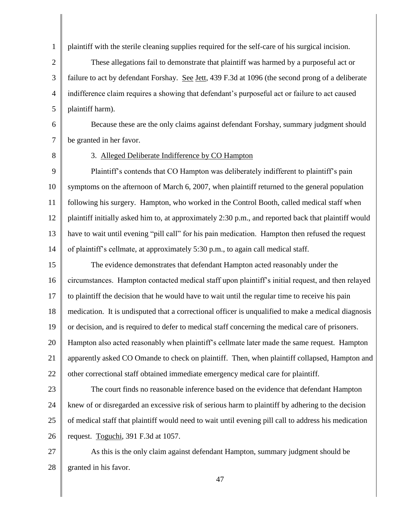plaintiff with the sterile cleaning supplies required for the self-care of his surgical incision.

2 3 4 5 These allegations fail to demonstrate that plaintiff was harmed by a purposeful act or failure to act by defendant Forshay. See Jett, 439 F.3d at 1096 (the second prong of a deliberate indifference claim requires a showing that defendant's purposeful act or failure to act caused plaintiff harm).

6 7 Because these are the only claims against defendant Forshay, summary judgment should be granted in her favor.

8

1

#### 3. Alleged Deliberate Indifference by CO Hampton

9 10 11 12 13 14 Plaintiff's contends that CO Hampton was deliberately indifferent to plaintiff's pain symptoms on the afternoon of March 6, 2007, when plaintiff returned to the general population following his surgery. Hampton, who worked in the Control Booth, called medical staff when plaintiff initially asked him to, at approximately 2:30 p.m., and reported back that plaintiff would have to wait until evening "pill call" for his pain medication. Hampton then refused the request of plaintiff"s cellmate, at approximately 5:30 p.m., to again call medical staff.

15 16 17 18 19 20 21 22 The evidence demonstrates that defendant Hampton acted reasonably under the circumstances. Hampton contacted medical staff upon plaintiff"s initial request, and then relayed to plaintiff the decision that he would have to wait until the regular time to receive his pain medication. It is undisputed that a correctional officer is unqualified to make a medical diagnosis or decision, and is required to defer to medical staff concerning the medical care of prisoners. Hampton also acted reasonably when plaintiff's cellmate later made the same request. Hampton apparently asked CO Omande to check on plaintiff. Then, when plaintiff collapsed, Hampton and other correctional staff obtained immediate emergency medical care for plaintiff.

23

24 25 26 The court finds no reasonable inference based on the evidence that defendant Hampton knew of or disregarded an excessive risk of serious harm to plaintiff by adhering to the decision of medical staff that plaintiff would need to wait until evening pill call to address his medication request. Toguchi, 391 F.3d at 1057.

27 28 As this is the only claim against defendant Hampton, summary judgment should be granted in his favor.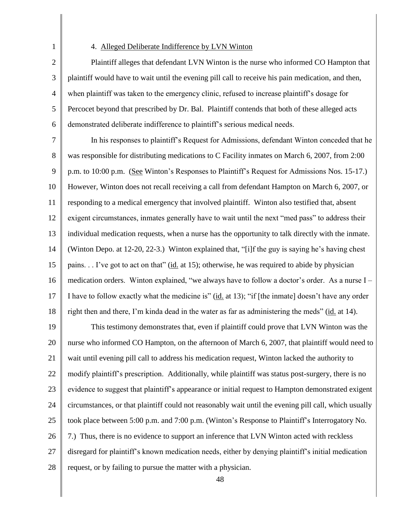1 2

#### 4. Alleged Deliberate Indifference by LVN Winton

3 4 5 6 Plaintiff alleges that defendant LVN Winton is the nurse who informed CO Hampton that plaintiff would have to wait until the evening pill call to receive his pain medication, and then, when plaintiff was taken to the emergency clinic, refused to increase plaintiff"s dosage for Percocet beyond that prescribed by Dr. Bal. Plaintiff contends that both of these alleged acts demonstrated deliberate indifference to plaintiff"s serious medical needs.

7 8 9 10 11 12 13 14 15 16 17 18 In his responses to plaintiff"s Request for Admissions, defendant Winton conceded that he was responsible for distributing medications to C Facility inmates on March 6, 2007, from 2:00 p.m. to 10:00 p.m. (See Winton"s Responses to Plaintiff"s Request for Admissions Nos. 15-17.) However, Winton does not recall receiving a call from defendant Hampton on March 6, 2007, or responding to a medical emergency that involved plaintiff. Winton also testified that, absent exigent circumstances, inmates generally have to wait until the next "med pass" to address their individual medication requests, when a nurse has the opportunity to talk directly with the inmate. (Winton Depo. at 12-20, 22-3.) Winton explained that, "[i]f the guy is saying he"s having chest pains. . . I"ve got to act on that" (id. at 15); otherwise, he was required to abide by physician medication orders. Winton explained, "we always have to follow a doctor's order. As a nurse I – I have to follow exactly what the medicine is" (id. at 13); "if [the inmate] doesn"t have any order right then and there, I"m kinda dead in the water as far as administering the meds" (id. at 14).

19 20 21 22 23 24 25 26 27 28 This testimony demonstrates that, even if plaintiff could prove that LVN Winton was the nurse who informed CO Hampton, on the afternoon of March 6, 2007, that plaintiff would need to wait until evening pill call to address his medication request, Winton lacked the authority to modify plaintiff"s prescription. Additionally, while plaintiff was status post-surgery, there is no evidence to suggest that plaintiff"s appearance or initial request to Hampton demonstrated exigent circumstances, or that plaintiff could not reasonably wait until the evening pill call, which usually took place between 5:00 p.m. and 7:00 p.m. (Winton"s Response to Plaintiff"s Interrogatory No. 7.) Thus, there is no evidence to support an inference that LVN Winton acted with reckless disregard for plaintiff"s known medication needs, either by denying plaintiff"s initial medication request, or by failing to pursue the matter with a physician.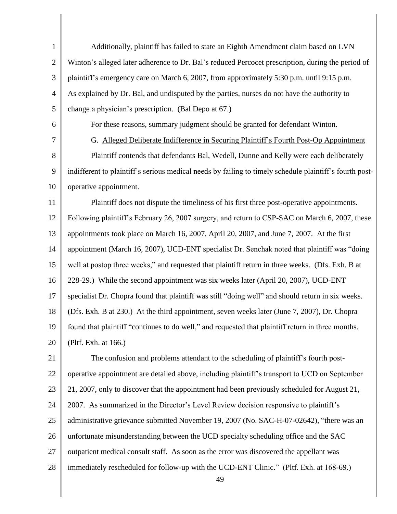| $\mathbf{1}$   | Additionally, plaintiff has failed to state an Eighth Amendment claim based on LVN                      |
|----------------|---------------------------------------------------------------------------------------------------------|
| $\overline{2}$ | Winton's alleged later adherence to Dr. Bal's reduced Percocet prescription, during the period of       |
| 3              | plaintiff's emergency care on March 6, 2007, from approximately 5:30 p.m. until 9:15 p.m.               |
| $\overline{4}$ | As explained by Dr. Bal, and undisputed by the parties, nurses do not have the authority to             |
| 5              | change a physician's prescription. (Bal Depo at 67.)                                                    |
| 6              | For these reasons, summary judgment should be granted for defendant Winton.                             |
| 7              | G. Alleged Deliberate Indifference in Securing Plaintiff's Fourth Post-Op Appointment                   |
| 8              | Plaintiff contends that defendants Bal, Wedell, Dunne and Kelly were each deliberately                  |
| 9              | indifferent to plaintiff's serious medical needs by failing to timely schedule plaintiff's fourth post- |
| 10             | operative appointment.                                                                                  |
| 11             | Plaintiff does not dispute the timeliness of his first three post-operative appointments.               |
| 12             | Following plaintiff's February 26, 2007 surgery, and return to CSP-SAC on March 6, 2007, these          |
| 13             | appointments took place on March 16, 2007, April 20, 2007, and June 7, 2007. At the first               |
| 14             | appointment (March 16, 2007), UCD-ENT specialist Dr. Senchak noted that plaintiff was "doing            |
| 15             | well at postop three weeks," and requested that plaintiff return in three weeks. (Dfs. Exh. B at        |
| 16             | 228-29.) While the second appointment was six weeks later (April 20, 2007), UCD-ENT                     |
| 17             | specialist Dr. Chopra found that plaintiff was still "doing well" and should return in six weeks.       |
| 18             | (Dfs. Exh. B at 230.) At the third appointment, seven weeks later (June 7, 2007), Dr. Chopra            |
| 19             | found that plaintiff "continues to do well," and requested that plaintiff return in three months.       |
| 20             | (Pltf. Exh. at 166.)                                                                                    |
| 21             | The confusion and problems attendant to the scheduling of plaintiff's fourth post-                      |
| 22             | operative appointment are detailed above, including plaintiff's transport to UCD on September           |
| 23             | 21, 2007, only to discover that the appointment had been previously scheduled for August 21,            |
| 24             | 2007. As summarized in the Director's Level Review decision responsive to plaintiff's                   |
| 25             | administrative grievance submitted November 19, 2007 (No. SAC-H-07-02642), "there was an                |
| 26             | unfortunate misunderstanding between the UCD specialty scheduling office and the SAC                    |
| 27             | outpatient medical consult staff. As soon as the error was discovered the appellant was                 |
| 28             | immediately rescheduled for follow-up with the UCD-ENT Clinic." (Pltf. Exh. at 168-69.)<br>49           |

║